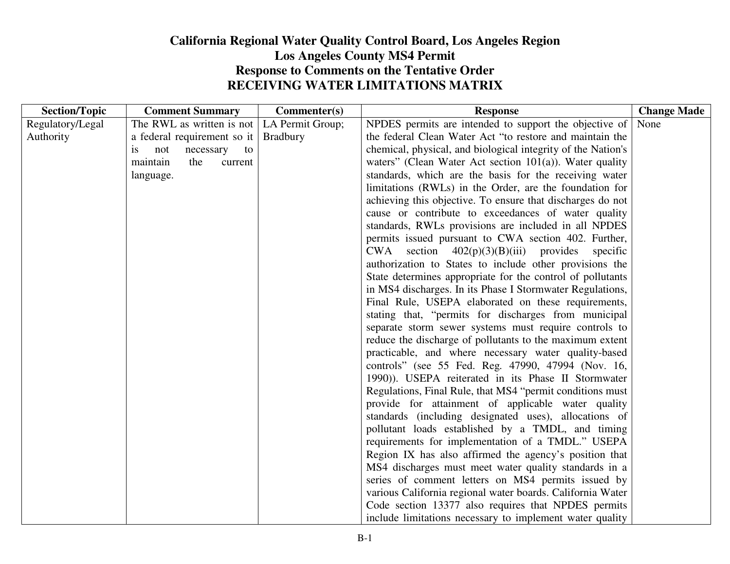## **California Regional Water Quality Control Board, Los Angeles RegionLos Angeles County MS4 Permit Response to Comments on the Tentative Order RECEIVING WATER LIMITATIONS MATRIX**

| <b>Section/Topic</b> | <b>Comment Summary</b>       | Commenter(s)     | <b>Response</b>                                                   | <b>Change Made</b> |
|----------------------|------------------------------|------------------|-------------------------------------------------------------------|--------------------|
| Regulatory/Legal     | The RWL as written is not    | LA Permit Group; | NPDES permits are intended to support the objective of            | None               |
| Authority            | a federal requirement so it  | <b>Bradbury</b>  | the federal Clean Water Act "to restore and maintain the          |                    |
|                      | not<br>necessary<br>to<br>1S |                  | chemical, physical, and biological integrity of the Nation's      |                    |
|                      | the<br>maintain<br>current   |                  | waters" (Clean Water Act section $101(a)$ ). Water quality        |                    |
|                      | language.                    |                  | standards, which are the basis for the receiving water            |                    |
|                      |                              |                  | limitations (RWLs) in the Order, are the foundation for           |                    |
|                      |                              |                  | achieving this objective. To ensure that discharges do not        |                    |
|                      |                              |                  | cause or contribute to exceedances of water quality               |                    |
|                      |                              |                  | standards, RWLs provisions are included in all NPDES              |                    |
|                      |                              |                  | permits issued pursuant to CWA section 402. Further,              |                    |
|                      |                              |                  | section $402(p)(3)(B)(iii)$<br><b>CWA</b><br>provides<br>specific |                    |
|                      |                              |                  | authorization to States to include other provisions the           |                    |
|                      |                              |                  | State determines appropriate for the control of pollutants        |                    |
|                      |                              |                  | in MS4 discharges. In its Phase I Stormwater Regulations,         |                    |
|                      |                              |                  | Final Rule, USEPA elaborated on these requirements,               |                    |
|                      |                              |                  | stating that, "permits for discharges from municipal              |                    |
|                      |                              |                  | separate storm sewer systems must require controls to             |                    |
|                      |                              |                  | reduce the discharge of pollutants to the maximum extent          |                    |
|                      |                              |                  | practicable, and where necessary water quality-based              |                    |
|                      |                              |                  | controls" (see 55 Fed. Reg. 47990, 47994 (Nov. 16,                |                    |
|                      |                              |                  | 1990)). USEPA reiterated in its Phase II Stormwater               |                    |
|                      |                              |                  | Regulations, Final Rule, that MS4 "permit conditions must         |                    |
|                      |                              |                  | provide for attainment of applicable water quality                |                    |
|                      |                              |                  | standards (including designated uses), allocations of             |                    |
|                      |                              |                  | pollutant loads established by a TMDL, and timing                 |                    |
|                      |                              |                  | requirements for implementation of a TMDL." USEPA                 |                    |
|                      |                              |                  | Region IX has also affirmed the agency's position that            |                    |
|                      |                              |                  | MS4 discharges must meet water quality standards in a             |                    |
|                      |                              |                  | series of comment letters on MS4 permits issued by                |                    |
|                      |                              |                  | various California regional water boards. California Water        |                    |
|                      |                              |                  | Code section 13377 also requires that NPDES permits               |                    |
|                      |                              |                  | include limitations necessary to implement water quality          |                    |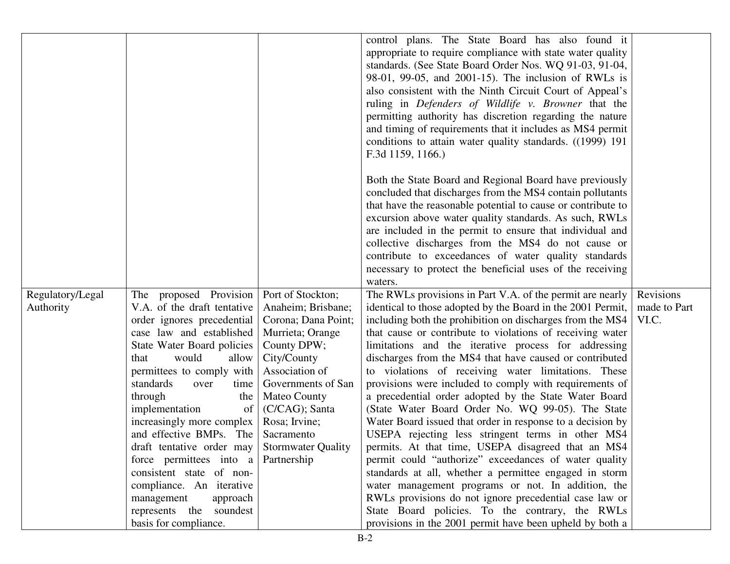|                  |                             |                           | control plans. The State Board has also found it             |              |
|------------------|-----------------------------|---------------------------|--------------------------------------------------------------|--------------|
|                  |                             |                           | appropriate to require compliance with state water quality   |              |
|                  |                             |                           | standards. (See State Board Order Nos. WQ 91-03, 91-04,      |              |
|                  |                             |                           | 98-01, 99-05, and 2001-15). The inclusion of RWLs is         |              |
|                  |                             |                           | also consistent with the Ninth Circuit Court of Appeal's     |              |
|                  |                             |                           | ruling in Defenders of Wildlife v. Browner that the          |              |
|                  |                             |                           | permitting authority has discretion regarding the nature     |              |
|                  |                             |                           | and timing of requirements that it includes as MS4 permit    |              |
|                  |                             |                           | conditions to attain water quality standards. ((1999) 191    |              |
|                  |                             |                           | F.3d 1159, 1166.)                                            |              |
|                  |                             |                           |                                                              |              |
|                  |                             |                           | Both the State Board and Regional Board have previously      |              |
|                  |                             |                           | concluded that discharges from the MS4 contain pollutants    |              |
|                  |                             |                           | that have the reasonable potential to cause or contribute to |              |
|                  |                             |                           | excursion above water quality standards. As such, RWLs       |              |
|                  |                             |                           | are included in the permit to ensure that individual and     |              |
|                  |                             |                           | collective discharges from the MS4 do not cause or           |              |
|                  |                             |                           | contribute to exceedances of water quality standards         |              |
|                  |                             |                           | necessary to protect the beneficial uses of the receiving    |              |
|                  |                             |                           | waters.                                                      |              |
| Regulatory/Legal | proposed Provision<br>The   | Port of Stockton;         | The RWLs provisions in Part V.A. of the permit are nearly    | Revisions    |
| Authority        | V.A. of the draft tentative | Anaheim; Brisbane;        | identical to those adopted by the Board in the 2001 Permit,  | made to Part |
|                  | order ignores precedential  | Corona; Dana Point;       | including both the prohibition on discharges from the MS4    | VI.C.        |
|                  | case law and established    | Murrieta; Orange          | that cause or contribute to violations of receiving water    |              |
|                  | State Water Board policies  | County DPW;               | limitations and the iterative process for addressing         |              |
|                  | that<br>would<br>allow      | City/County               | discharges from the MS4 that have caused or contributed      |              |
|                  | permittees to comply with   | Association of            | to violations of receiving water limitations. These          |              |
|                  | standards<br>over<br>time   | Governments of San        | provisions were included to comply with requirements of      |              |
|                  | through<br>the              | <b>Mateo County</b>       | a precedential order adopted by the State Water Board        |              |
|                  | implementation<br>of        | (C/CAG); Santa            | (State Water Board Order No. WQ 99-05). The State            |              |
|                  | increasingly more complex   | Rosa; Irvine;             | Water Board issued that order in response to a decision by   |              |
|                  | and effective BMPs. The     | Sacramento                | USEPA rejecting less stringent terms in other MS4            |              |
|                  | draft tentative order may   | <b>Stormwater Quality</b> | permits. At that time, USEPA disagreed that an MS4           |              |
|                  | force permittees into a     | Partnership               | permit could "authorize" exceedances of water quality        |              |
|                  | consistent state of non-    |                           | standards at all, whether a permittee engaged in storm       |              |
|                  | compliance. An iterative    |                           | water management programs or not. In addition, the           |              |
|                  | management<br>approach      |                           | RWLs provisions do not ignore precedential case law or       |              |
|                  | represents the soundest     |                           | State Board policies. To the contrary, the RWLs              |              |
|                  | basis for compliance.       |                           | provisions in the 2001 permit have been upheld by both a     |              |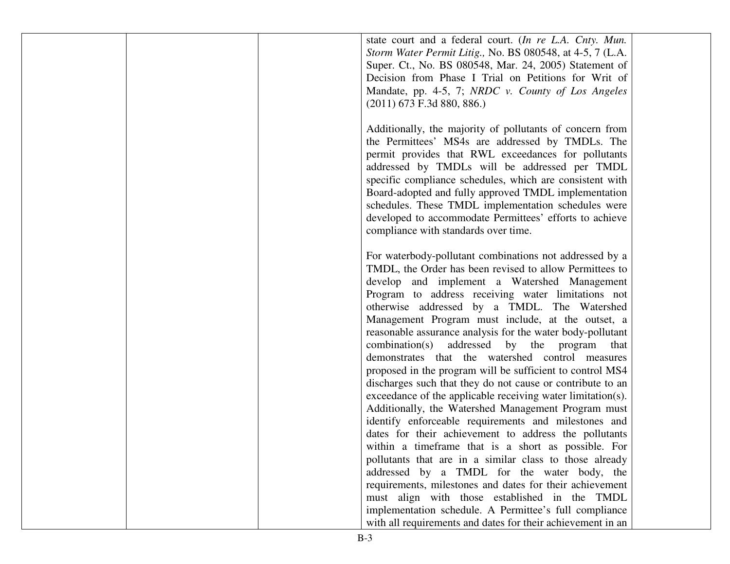| state court and a federal court. (In re L.A. Cnty. Mun.<br>Storm Water Permit Litig., No. BS 080548, at 4-5, 7 (L.A.<br>Super. Ct., No. BS 080548, Mar. 24, 2005) Statement of<br>Decision from Phase I Trial on Petitions for Writ of<br>Mandate, pp. 4-5, 7; NRDC v. County of Los Angeles<br>$(2011)$ 673 F.3d 880, 886.)                                                                                                                                                                                                                                                                                                               |  |
|--------------------------------------------------------------------------------------------------------------------------------------------------------------------------------------------------------------------------------------------------------------------------------------------------------------------------------------------------------------------------------------------------------------------------------------------------------------------------------------------------------------------------------------------------------------------------------------------------------------------------------------------|--|
| Additionally, the majority of pollutants of concern from<br>the Permittees' MS4s are addressed by TMDLs. The<br>permit provides that RWL exceedances for pollutants<br>addressed by TMDLs will be addressed per TMDL<br>specific compliance schedules, which are consistent with<br>Board-adopted and fully approved TMDL implementation<br>schedules. These TMDL implementation schedules were<br>developed to accommodate Permittees' efforts to achieve<br>compliance with standards over time.                                                                                                                                         |  |
| For waterbody-pollutant combinations not addressed by a<br>TMDL, the Order has been revised to allow Permittees to<br>develop and implement a Watershed Management<br>Program to address receiving water limitations not<br>otherwise addressed by a TMDL. The Watershed<br>Management Program must include, at the outset, a<br>reasonable assurance analysis for the water body-pollutant<br>combination(s) addressed by the program<br>that<br>demonstrates that the watershed control measures<br>proposed in the program will be sufficient to control MS4<br>discharges such that they do not cause or contribute to an              |  |
| exceedance of the applicable receiving water limitation(s).<br>Additionally, the Watershed Management Program must<br>identify enforceable requirements and milestones and<br>dates for their achievement to address the pollutants<br>within a timeframe that is a short as possible. For<br>pollutants that are in a similar class to those already<br>addressed by a TMDL for the water body, the<br>requirements, milestones and dates for their achievement<br>must align with those established in the TMDL<br>implementation schedule. A Permittee's full compliance<br>with all requirements and dates for their achievement in an |  |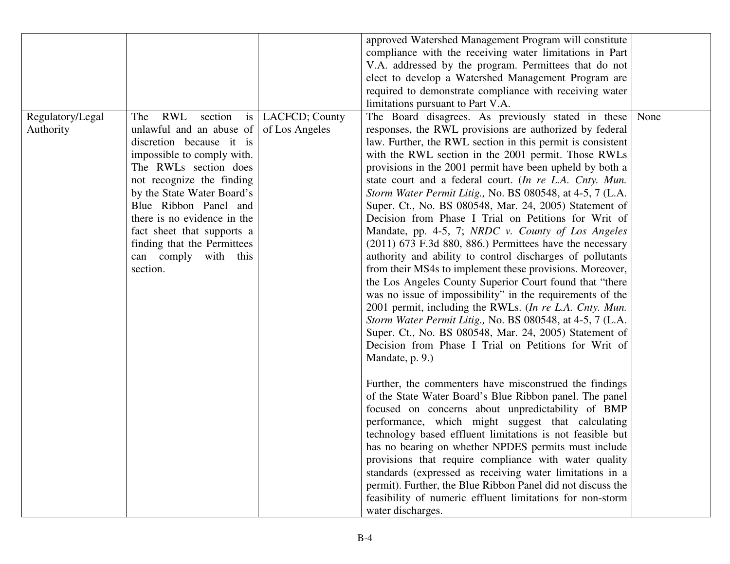|                  |                                                 |                     | approved Watershed Management Program will constitute       |      |
|------------------|-------------------------------------------------|---------------------|-------------------------------------------------------------|------|
|                  |                                                 |                     | compliance with the receiving water limitations in Part     |      |
|                  |                                                 |                     | V.A. addressed by the program. Permittees that do not       |      |
|                  |                                                 |                     | elect to develop a Watershed Management Program are         |      |
|                  |                                                 |                     | required to demonstrate compliance with receiving water     |      |
|                  |                                                 |                     | limitations pursuant to Part V.A.                           |      |
| Regulatory/Legal | RWL<br>section<br>The                           | is   LACFCD; County | The Board disagrees. As previously stated in these          | None |
| Authority        | unlawful and an abuse of $\vert$ of Los Angeles |                     | responses, the RWL provisions are authorized by federal     |      |
|                  | discretion because it is                        |                     | law. Further, the RWL section in this permit is consistent  |      |
|                  | impossible to comply with.                      |                     | with the RWL section in the 2001 permit. Those RWLs         |      |
|                  | The RWLs section does                           |                     | provisions in the 2001 permit have been upheld by both a    |      |
|                  | not recognize the finding                       |                     | state court and a federal court. (In re L.A. Cnty. Mun.     |      |
|                  | by the State Water Board's                      |                     | Storm Water Permit Litig., No. BS 080548, at 4-5, 7 (L.A.   |      |
|                  | Blue Ribbon Panel and                           |                     | Super. Ct., No. BS 080548, Mar. 24, 2005) Statement of      |      |
|                  | there is no evidence in the                     |                     | Decision from Phase I Trial on Petitions for Writ of        |      |
|                  | fact sheet that supports a                      |                     | Mandate, pp. 4-5, 7; NRDC v. County of Los Angeles          |      |
|                  | finding that the Permittees                     |                     | $(2011)$ 673 F.3d 880, 886.) Permittees have the necessary  |      |
|                  | can comply with this                            |                     | authority and ability to control discharges of pollutants   |      |
|                  | section.                                        |                     | from their MS4s to implement these provisions. Moreover,    |      |
|                  |                                                 |                     | the Los Angeles County Superior Court found that "there     |      |
|                  |                                                 |                     | was no issue of impossibility" in the requirements of the   |      |
|                  |                                                 |                     | 2001 permit, including the RWLs. (In re L.A. Cnty. Mun.     |      |
|                  |                                                 |                     | Storm Water Permit Litig., No. BS 080548, at 4-5, 7 (L.A.   |      |
|                  |                                                 |                     | Super. Ct., No. BS 080548, Mar. 24, 2005) Statement of      |      |
|                  |                                                 |                     | Decision from Phase I Trial on Petitions for Writ of        |      |
|                  |                                                 |                     | Mandate, p. 9.)                                             |      |
|                  |                                                 |                     |                                                             |      |
|                  |                                                 |                     | Further, the commenters have misconstrued the findings      |      |
|                  |                                                 |                     | of the State Water Board's Blue Ribbon panel. The panel     |      |
|                  |                                                 |                     | focused on concerns about unpredictability of BMP           |      |
|                  |                                                 |                     | performance, which might suggest that calculating           |      |
|                  |                                                 |                     | technology based effluent limitations is not feasible but   |      |
|                  |                                                 |                     | has no bearing on whether NPDES permits must include        |      |
|                  |                                                 |                     | provisions that require compliance with water quality       |      |
|                  |                                                 |                     | standards (expressed as receiving water limitations in a    |      |
|                  |                                                 |                     | permit). Further, the Blue Ribbon Panel did not discuss the |      |
|                  |                                                 |                     | feasibility of numeric effluent limitations for non-storm   |      |
|                  |                                                 |                     | water discharges.                                           |      |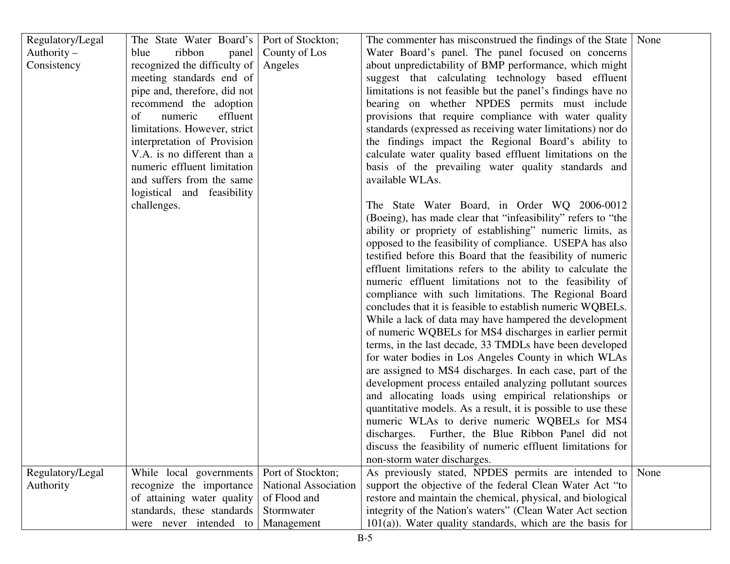| Regulatory/Legal | The State Water Board's   Port of Stockton; |                             | The commenter has misconstrued the findings of the State   None |      |
|------------------|---------------------------------------------|-----------------------------|-----------------------------------------------------------------|------|
| Authority $-$    | ribbon<br>blue                              | panel   County of Los       | Water Board's panel. The panel focused on concerns              |      |
| Consistency      | recognized the difficulty of                | Angeles                     | about unpredictability of BMP performance, which might          |      |
|                  | meeting standards end of                    |                             | suggest that calculating technology based effluent              |      |
|                  | pipe and, therefore, did not                |                             | limitations is not feasible but the panel's findings have no    |      |
|                  | recommend the adoption                      |                             | bearing on whether NPDES permits must include                   |      |
|                  | numeric<br>effluent<br>of                   |                             | provisions that require compliance with water quality           |      |
|                  | limitations. However, strict                |                             | standards (expressed as receiving water limitations) nor do     |      |
|                  | interpretation of Provision                 |                             | the findings impact the Regional Board's ability to             |      |
|                  | V.A. is no different than a                 |                             | calculate water quality based effluent limitations on the       |      |
|                  | numeric effluent limitation                 |                             | basis of the prevailing water quality standards and             |      |
|                  | and suffers from the same                   |                             | available WLAs.                                                 |      |
|                  | logistical and feasibility                  |                             |                                                                 |      |
|                  | challenges.                                 |                             | The State Water Board, in Order WQ 2006-0012                    |      |
|                  |                                             |                             | (Boeing), has made clear that "infeasibility" refers to "the    |      |
|                  |                                             |                             | ability or propriety of establishing" numeric limits, as        |      |
|                  |                                             |                             | opposed to the feasibility of compliance. USEPA has also        |      |
|                  |                                             |                             | testified before this Board that the feasibility of numeric     |      |
|                  |                                             |                             | effluent limitations refers to the ability to calculate the     |      |
|                  |                                             |                             | numeric effluent limitations not to the feasibility of          |      |
|                  |                                             |                             | compliance with such limitations. The Regional Board            |      |
|                  |                                             |                             | concludes that it is feasible to establish numeric WQBELs.      |      |
|                  |                                             |                             | While a lack of data may have hampered the development          |      |
|                  |                                             |                             | of numeric WQBELs for MS4 discharges in earlier permit          |      |
|                  |                                             |                             | terms, in the last decade, 33 TMDLs have been developed         |      |
|                  |                                             |                             | for water bodies in Los Angeles County in which WLAs            |      |
|                  |                                             |                             | are assigned to MS4 discharges. In each case, part of the       |      |
|                  |                                             |                             | development process entailed analyzing pollutant sources        |      |
|                  |                                             |                             | and allocating loads using empirical relationships or           |      |
|                  |                                             |                             | quantitative models. As a result, it is possible to use these   |      |
|                  |                                             |                             | numeric WLAs to derive numeric WQBELs for MS4                   |      |
|                  |                                             |                             | discharges. Further, the Blue Ribbon Panel did not              |      |
|                  |                                             |                             | discuss the feasibility of numeric effluent limitations for     |      |
|                  |                                             |                             | non-storm water discharges.                                     |      |
| Regulatory/Legal | While local governments                     | Port of Stockton;           | As previously stated, NPDES permits are intended to             | None |
| Authority        | recognize the importance                    | <b>National Association</b> | support the objective of the federal Clean Water Act "to        |      |
|                  | of attaining water quality                  | of Flood and                | restore and maintain the chemical, physical, and biological     |      |
|                  | standards, these standards                  | Stormwater                  | integrity of the Nation's waters" (Clean Water Act section      |      |
|                  | were never intended to                      | Management                  | $101(a)$ ). Water quality standards, which are the basis for    |      |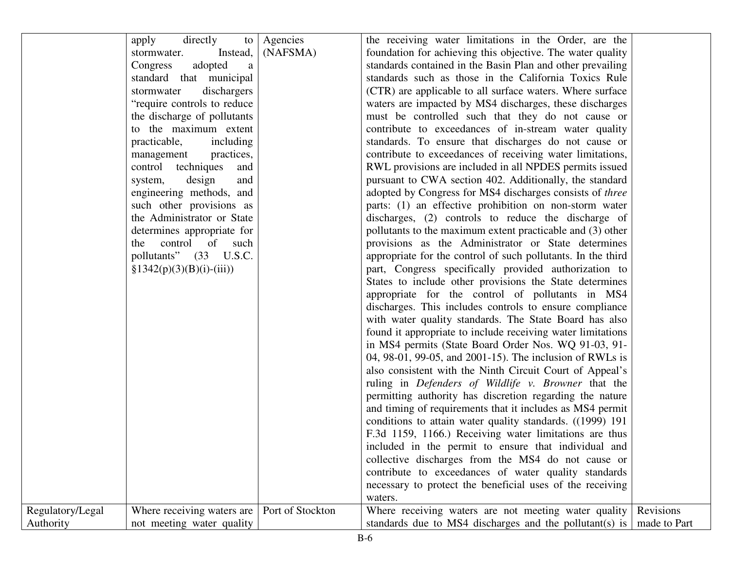| the receiving water limitations in the Order, are the<br>directly<br>Agencies<br>to<br>apply<br>(NAFSMA)<br>foundation for achieving this objective. The water quality<br>Instead,<br>stormwater.<br>standards contained in the Basin Plan and other prevailing<br>Congress<br>adopted<br>a<br>standard that municipal<br>standards such as those in the California Toxics Rule<br>dischargers<br>(CTR) are applicable to all surface waters. Where surface<br>stormwater<br>"require controls to reduce"<br>waters are impacted by MS4 discharges, these discharges<br>the discharge of pollutants<br>must be controlled such that they do not cause or<br>to the maximum extent<br>contribute to exceedances of in-stream water quality<br>practicable,<br>standards. To ensure that discharges do not cause or<br>including<br>contribute to exceedances of receiving water limitations,<br>management<br>practices,<br>control techniques<br>RWL provisions are included in all NPDES permits issued<br>and<br>pursuant to CWA section 402. Additionally, the standard<br>design<br>and<br>system,<br>engineering methods, and<br>adopted by Congress for MS4 discharges consists of three<br>such other provisions as<br>parts: (1) an effective prohibition on non-storm water<br>the Administrator or State<br>discharges, (2) controls to reduce the discharge of<br>determines appropriate for<br>pollutants to the maximum extent practicable and (3) other<br>control<br>provisions as the Administrator or State determines<br>of<br>the<br>such<br>pollutants" (33 U.S.C.<br>appropriate for the control of such pollutants. In the third<br>$§1342(p)(3)(B)(i)-(iii))$<br>part, Congress specifically provided authorization to<br>States to include other provisions the State determines<br>appropriate for the control of pollutants in MS4<br>discharges. This includes controls to ensure compliance<br>with water quality standards. The State Board has also<br>found it appropriate to include receiving water limitations<br>in MS4 permits (State Board Order Nos. WQ 91-03, 91-<br>04, 98-01, 99-05, and 2001-15). The inclusion of RWLs is<br>also consistent with the Ninth Circuit Court of Appeal's<br>ruling in Defenders of Wildlife v. Browner that the<br>permitting authority has discretion regarding the nature<br>and timing of requirements that it includes as MS4 permit<br>conditions to attain water quality standards. ((1999) 191<br>F.3d 1159, 1166.) Receiving water limitations are thus<br>included in the permit to ensure that individual and<br>collective discharges from the MS4 do not cause or<br>contribute to exceedances of water quality standards<br>necessary to protect the beneficial uses of the receiving<br>waters.<br>Revisions<br>Regulatory/Legal<br>Port of Stockton<br>Where receiving waters are<br>Where receiving waters are not meeting water quality |           |                           |                                                         |              |
|----------------------------------------------------------------------------------------------------------------------------------------------------------------------------------------------------------------------------------------------------------------------------------------------------------------------------------------------------------------------------------------------------------------------------------------------------------------------------------------------------------------------------------------------------------------------------------------------------------------------------------------------------------------------------------------------------------------------------------------------------------------------------------------------------------------------------------------------------------------------------------------------------------------------------------------------------------------------------------------------------------------------------------------------------------------------------------------------------------------------------------------------------------------------------------------------------------------------------------------------------------------------------------------------------------------------------------------------------------------------------------------------------------------------------------------------------------------------------------------------------------------------------------------------------------------------------------------------------------------------------------------------------------------------------------------------------------------------------------------------------------------------------------------------------------------------------------------------------------------------------------------------------------------------------------------------------------------------------------------------------------------------------------------------------------------------------------------------------------------------------------------------------------------------------------------------------------------------------------------------------------------------------------------------------------------------------------------------------------------------------------------------------------------------------------------------------------------------------------------------------------------------------------------------------------------------------------------------------------------------------------------------------------------------------------------------------------------------------------------------------------------------------------------------------------------------------------------------------------------------------------------------------------------------------------|-----------|---------------------------|---------------------------------------------------------|--------------|
|                                                                                                                                                                                                                                                                                                                                                                                                                                                                                                                                                                                                                                                                                                                                                                                                                                                                                                                                                                                                                                                                                                                                                                                                                                                                                                                                                                                                                                                                                                                                                                                                                                                                                                                                                                                                                                                                                                                                                                                                                                                                                                                                                                                                                                                                                                                                                                                                                                                                                                                                                                                                                                                                                                                                                                                                                                                                                                                                  |           |                           |                                                         |              |
|                                                                                                                                                                                                                                                                                                                                                                                                                                                                                                                                                                                                                                                                                                                                                                                                                                                                                                                                                                                                                                                                                                                                                                                                                                                                                                                                                                                                                                                                                                                                                                                                                                                                                                                                                                                                                                                                                                                                                                                                                                                                                                                                                                                                                                                                                                                                                                                                                                                                                                                                                                                                                                                                                                                                                                                                                                                                                                                                  |           |                           |                                                         |              |
|                                                                                                                                                                                                                                                                                                                                                                                                                                                                                                                                                                                                                                                                                                                                                                                                                                                                                                                                                                                                                                                                                                                                                                                                                                                                                                                                                                                                                                                                                                                                                                                                                                                                                                                                                                                                                                                                                                                                                                                                                                                                                                                                                                                                                                                                                                                                                                                                                                                                                                                                                                                                                                                                                                                                                                                                                                                                                                                                  |           |                           |                                                         |              |
|                                                                                                                                                                                                                                                                                                                                                                                                                                                                                                                                                                                                                                                                                                                                                                                                                                                                                                                                                                                                                                                                                                                                                                                                                                                                                                                                                                                                                                                                                                                                                                                                                                                                                                                                                                                                                                                                                                                                                                                                                                                                                                                                                                                                                                                                                                                                                                                                                                                                                                                                                                                                                                                                                                                                                                                                                                                                                                                                  |           |                           |                                                         |              |
|                                                                                                                                                                                                                                                                                                                                                                                                                                                                                                                                                                                                                                                                                                                                                                                                                                                                                                                                                                                                                                                                                                                                                                                                                                                                                                                                                                                                                                                                                                                                                                                                                                                                                                                                                                                                                                                                                                                                                                                                                                                                                                                                                                                                                                                                                                                                                                                                                                                                                                                                                                                                                                                                                                                                                                                                                                                                                                                                  |           |                           |                                                         |              |
|                                                                                                                                                                                                                                                                                                                                                                                                                                                                                                                                                                                                                                                                                                                                                                                                                                                                                                                                                                                                                                                                                                                                                                                                                                                                                                                                                                                                                                                                                                                                                                                                                                                                                                                                                                                                                                                                                                                                                                                                                                                                                                                                                                                                                                                                                                                                                                                                                                                                                                                                                                                                                                                                                                                                                                                                                                                                                                                                  |           |                           |                                                         |              |
|                                                                                                                                                                                                                                                                                                                                                                                                                                                                                                                                                                                                                                                                                                                                                                                                                                                                                                                                                                                                                                                                                                                                                                                                                                                                                                                                                                                                                                                                                                                                                                                                                                                                                                                                                                                                                                                                                                                                                                                                                                                                                                                                                                                                                                                                                                                                                                                                                                                                                                                                                                                                                                                                                                                                                                                                                                                                                                                                  |           |                           |                                                         |              |
|                                                                                                                                                                                                                                                                                                                                                                                                                                                                                                                                                                                                                                                                                                                                                                                                                                                                                                                                                                                                                                                                                                                                                                                                                                                                                                                                                                                                                                                                                                                                                                                                                                                                                                                                                                                                                                                                                                                                                                                                                                                                                                                                                                                                                                                                                                                                                                                                                                                                                                                                                                                                                                                                                                                                                                                                                                                                                                                                  |           |                           |                                                         |              |
|                                                                                                                                                                                                                                                                                                                                                                                                                                                                                                                                                                                                                                                                                                                                                                                                                                                                                                                                                                                                                                                                                                                                                                                                                                                                                                                                                                                                                                                                                                                                                                                                                                                                                                                                                                                                                                                                                                                                                                                                                                                                                                                                                                                                                                                                                                                                                                                                                                                                                                                                                                                                                                                                                                                                                                                                                                                                                                                                  |           |                           |                                                         |              |
|                                                                                                                                                                                                                                                                                                                                                                                                                                                                                                                                                                                                                                                                                                                                                                                                                                                                                                                                                                                                                                                                                                                                                                                                                                                                                                                                                                                                                                                                                                                                                                                                                                                                                                                                                                                                                                                                                                                                                                                                                                                                                                                                                                                                                                                                                                                                                                                                                                                                                                                                                                                                                                                                                                                                                                                                                                                                                                                                  |           |                           |                                                         |              |
|                                                                                                                                                                                                                                                                                                                                                                                                                                                                                                                                                                                                                                                                                                                                                                                                                                                                                                                                                                                                                                                                                                                                                                                                                                                                                                                                                                                                                                                                                                                                                                                                                                                                                                                                                                                                                                                                                                                                                                                                                                                                                                                                                                                                                                                                                                                                                                                                                                                                                                                                                                                                                                                                                                                                                                                                                                                                                                                                  |           |                           |                                                         |              |
|                                                                                                                                                                                                                                                                                                                                                                                                                                                                                                                                                                                                                                                                                                                                                                                                                                                                                                                                                                                                                                                                                                                                                                                                                                                                                                                                                                                                                                                                                                                                                                                                                                                                                                                                                                                                                                                                                                                                                                                                                                                                                                                                                                                                                                                                                                                                                                                                                                                                                                                                                                                                                                                                                                                                                                                                                                                                                                                                  |           |                           |                                                         |              |
|                                                                                                                                                                                                                                                                                                                                                                                                                                                                                                                                                                                                                                                                                                                                                                                                                                                                                                                                                                                                                                                                                                                                                                                                                                                                                                                                                                                                                                                                                                                                                                                                                                                                                                                                                                                                                                                                                                                                                                                                                                                                                                                                                                                                                                                                                                                                                                                                                                                                                                                                                                                                                                                                                                                                                                                                                                                                                                                                  |           |                           |                                                         |              |
|                                                                                                                                                                                                                                                                                                                                                                                                                                                                                                                                                                                                                                                                                                                                                                                                                                                                                                                                                                                                                                                                                                                                                                                                                                                                                                                                                                                                                                                                                                                                                                                                                                                                                                                                                                                                                                                                                                                                                                                                                                                                                                                                                                                                                                                                                                                                                                                                                                                                                                                                                                                                                                                                                                                                                                                                                                                                                                                                  |           |                           |                                                         |              |
|                                                                                                                                                                                                                                                                                                                                                                                                                                                                                                                                                                                                                                                                                                                                                                                                                                                                                                                                                                                                                                                                                                                                                                                                                                                                                                                                                                                                                                                                                                                                                                                                                                                                                                                                                                                                                                                                                                                                                                                                                                                                                                                                                                                                                                                                                                                                                                                                                                                                                                                                                                                                                                                                                                                                                                                                                                                                                                                                  |           |                           |                                                         |              |
|                                                                                                                                                                                                                                                                                                                                                                                                                                                                                                                                                                                                                                                                                                                                                                                                                                                                                                                                                                                                                                                                                                                                                                                                                                                                                                                                                                                                                                                                                                                                                                                                                                                                                                                                                                                                                                                                                                                                                                                                                                                                                                                                                                                                                                                                                                                                                                                                                                                                                                                                                                                                                                                                                                                                                                                                                                                                                                                                  |           |                           |                                                         |              |
|                                                                                                                                                                                                                                                                                                                                                                                                                                                                                                                                                                                                                                                                                                                                                                                                                                                                                                                                                                                                                                                                                                                                                                                                                                                                                                                                                                                                                                                                                                                                                                                                                                                                                                                                                                                                                                                                                                                                                                                                                                                                                                                                                                                                                                                                                                                                                                                                                                                                                                                                                                                                                                                                                                                                                                                                                                                                                                                                  |           |                           |                                                         |              |
|                                                                                                                                                                                                                                                                                                                                                                                                                                                                                                                                                                                                                                                                                                                                                                                                                                                                                                                                                                                                                                                                                                                                                                                                                                                                                                                                                                                                                                                                                                                                                                                                                                                                                                                                                                                                                                                                                                                                                                                                                                                                                                                                                                                                                                                                                                                                                                                                                                                                                                                                                                                                                                                                                                                                                                                                                                                                                                                                  |           |                           |                                                         |              |
|                                                                                                                                                                                                                                                                                                                                                                                                                                                                                                                                                                                                                                                                                                                                                                                                                                                                                                                                                                                                                                                                                                                                                                                                                                                                                                                                                                                                                                                                                                                                                                                                                                                                                                                                                                                                                                                                                                                                                                                                                                                                                                                                                                                                                                                                                                                                                                                                                                                                                                                                                                                                                                                                                                                                                                                                                                                                                                                                  |           |                           |                                                         |              |
|                                                                                                                                                                                                                                                                                                                                                                                                                                                                                                                                                                                                                                                                                                                                                                                                                                                                                                                                                                                                                                                                                                                                                                                                                                                                                                                                                                                                                                                                                                                                                                                                                                                                                                                                                                                                                                                                                                                                                                                                                                                                                                                                                                                                                                                                                                                                                                                                                                                                                                                                                                                                                                                                                                                                                                                                                                                                                                                                  |           |                           |                                                         |              |
|                                                                                                                                                                                                                                                                                                                                                                                                                                                                                                                                                                                                                                                                                                                                                                                                                                                                                                                                                                                                                                                                                                                                                                                                                                                                                                                                                                                                                                                                                                                                                                                                                                                                                                                                                                                                                                                                                                                                                                                                                                                                                                                                                                                                                                                                                                                                                                                                                                                                                                                                                                                                                                                                                                                                                                                                                                                                                                                                  |           |                           |                                                         |              |
|                                                                                                                                                                                                                                                                                                                                                                                                                                                                                                                                                                                                                                                                                                                                                                                                                                                                                                                                                                                                                                                                                                                                                                                                                                                                                                                                                                                                                                                                                                                                                                                                                                                                                                                                                                                                                                                                                                                                                                                                                                                                                                                                                                                                                                                                                                                                                                                                                                                                                                                                                                                                                                                                                                                                                                                                                                                                                                                                  |           |                           |                                                         |              |
|                                                                                                                                                                                                                                                                                                                                                                                                                                                                                                                                                                                                                                                                                                                                                                                                                                                                                                                                                                                                                                                                                                                                                                                                                                                                                                                                                                                                                                                                                                                                                                                                                                                                                                                                                                                                                                                                                                                                                                                                                                                                                                                                                                                                                                                                                                                                                                                                                                                                                                                                                                                                                                                                                                                                                                                                                                                                                                                                  |           |                           |                                                         |              |
|                                                                                                                                                                                                                                                                                                                                                                                                                                                                                                                                                                                                                                                                                                                                                                                                                                                                                                                                                                                                                                                                                                                                                                                                                                                                                                                                                                                                                                                                                                                                                                                                                                                                                                                                                                                                                                                                                                                                                                                                                                                                                                                                                                                                                                                                                                                                                                                                                                                                                                                                                                                                                                                                                                                                                                                                                                                                                                                                  |           |                           |                                                         |              |
|                                                                                                                                                                                                                                                                                                                                                                                                                                                                                                                                                                                                                                                                                                                                                                                                                                                                                                                                                                                                                                                                                                                                                                                                                                                                                                                                                                                                                                                                                                                                                                                                                                                                                                                                                                                                                                                                                                                                                                                                                                                                                                                                                                                                                                                                                                                                                                                                                                                                                                                                                                                                                                                                                                                                                                                                                                                                                                                                  |           |                           |                                                         |              |
|                                                                                                                                                                                                                                                                                                                                                                                                                                                                                                                                                                                                                                                                                                                                                                                                                                                                                                                                                                                                                                                                                                                                                                                                                                                                                                                                                                                                                                                                                                                                                                                                                                                                                                                                                                                                                                                                                                                                                                                                                                                                                                                                                                                                                                                                                                                                                                                                                                                                                                                                                                                                                                                                                                                                                                                                                                                                                                                                  |           |                           |                                                         |              |
|                                                                                                                                                                                                                                                                                                                                                                                                                                                                                                                                                                                                                                                                                                                                                                                                                                                                                                                                                                                                                                                                                                                                                                                                                                                                                                                                                                                                                                                                                                                                                                                                                                                                                                                                                                                                                                                                                                                                                                                                                                                                                                                                                                                                                                                                                                                                                                                                                                                                                                                                                                                                                                                                                                                                                                                                                                                                                                                                  |           |                           |                                                         |              |
|                                                                                                                                                                                                                                                                                                                                                                                                                                                                                                                                                                                                                                                                                                                                                                                                                                                                                                                                                                                                                                                                                                                                                                                                                                                                                                                                                                                                                                                                                                                                                                                                                                                                                                                                                                                                                                                                                                                                                                                                                                                                                                                                                                                                                                                                                                                                                                                                                                                                                                                                                                                                                                                                                                                                                                                                                                                                                                                                  |           |                           |                                                         |              |
|                                                                                                                                                                                                                                                                                                                                                                                                                                                                                                                                                                                                                                                                                                                                                                                                                                                                                                                                                                                                                                                                                                                                                                                                                                                                                                                                                                                                                                                                                                                                                                                                                                                                                                                                                                                                                                                                                                                                                                                                                                                                                                                                                                                                                                                                                                                                                                                                                                                                                                                                                                                                                                                                                                                                                                                                                                                                                                                                  |           |                           |                                                         |              |
|                                                                                                                                                                                                                                                                                                                                                                                                                                                                                                                                                                                                                                                                                                                                                                                                                                                                                                                                                                                                                                                                                                                                                                                                                                                                                                                                                                                                                                                                                                                                                                                                                                                                                                                                                                                                                                                                                                                                                                                                                                                                                                                                                                                                                                                                                                                                                                                                                                                                                                                                                                                                                                                                                                                                                                                                                                                                                                                                  |           |                           |                                                         |              |
|                                                                                                                                                                                                                                                                                                                                                                                                                                                                                                                                                                                                                                                                                                                                                                                                                                                                                                                                                                                                                                                                                                                                                                                                                                                                                                                                                                                                                                                                                                                                                                                                                                                                                                                                                                                                                                                                                                                                                                                                                                                                                                                                                                                                                                                                                                                                                                                                                                                                                                                                                                                                                                                                                                                                                                                                                                                                                                                                  |           |                           |                                                         |              |
|                                                                                                                                                                                                                                                                                                                                                                                                                                                                                                                                                                                                                                                                                                                                                                                                                                                                                                                                                                                                                                                                                                                                                                                                                                                                                                                                                                                                                                                                                                                                                                                                                                                                                                                                                                                                                                                                                                                                                                                                                                                                                                                                                                                                                                                                                                                                                                                                                                                                                                                                                                                                                                                                                                                                                                                                                                                                                                                                  |           |                           |                                                         |              |
|                                                                                                                                                                                                                                                                                                                                                                                                                                                                                                                                                                                                                                                                                                                                                                                                                                                                                                                                                                                                                                                                                                                                                                                                                                                                                                                                                                                                                                                                                                                                                                                                                                                                                                                                                                                                                                                                                                                                                                                                                                                                                                                                                                                                                                                                                                                                                                                                                                                                                                                                                                                                                                                                                                                                                                                                                                                                                                                                  |           |                           |                                                         |              |
|                                                                                                                                                                                                                                                                                                                                                                                                                                                                                                                                                                                                                                                                                                                                                                                                                                                                                                                                                                                                                                                                                                                                                                                                                                                                                                                                                                                                                                                                                                                                                                                                                                                                                                                                                                                                                                                                                                                                                                                                                                                                                                                                                                                                                                                                                                                                                                                                                                                                                                                                                                                                                                                                                                                                                                                                                                                                                                                                  |           |                           |                                                         |              |
|                                                                                                                                                                                                                                                                                                                                                                                                                                                                                                                                                                                                                                                                                                                                                                                                                                                                                                                                                                                                                                                                                                                                                                                                                                                                                                                                                                                                                                                                                                                                                                                                                                                                                                                                                                                                                                                                                                                                                                                                                                                                                                                                                                                                                                                                                                                                                                                                                                                                                                                                                                                                                                                                                                                                                                                                                                                                                                                                  |           |                           |                                                         |              |
|                                                                                                                                                                                                                                                                                                                                                                                                                                                                                                                                                                                                                                                                                                                                                                                                                                                                                                                                                                                                                                                                                                                                                                                                                                                                                                                                                                                                                                                                                                                                                                                                                                                                                                                                                                                                                                                                                                                                                                                                                                                                                                                                                                                                                                                                                                                                                                                                                                                                                                                                                                                                                                                                                                                                                                                                                                                                                                                                  |           |                           |                                                         |              |
|                                                                                                                                                                                                                                                                                                                                                                                                                                                                                                                                                                                                                                                                                                                                                                                                                                                                                                                                                                                                                                                                                                                                                                                                                                                                                                                                                                                                                                                                                                                                                                                                                                                                                                                                                                                                                                                                                                                                                                                                                                                                                                                                                                                                                                                                                                                                                                                                                                                                                                                                                                                                                                                                                                                                                                                                                                                                                                                                  |           |                           |                                                         |              |
|                                                                                                                                                                                                                                                                                                                                                                                                                                                                                                                                                                                                                                                                                                                                                                                                                                                                                                                                                                                                                                                                                                                                                                                                                                                                                                                                                                                                                                                                                                                                                                                                                                                                                                                                                                                                                                                                                                                                                                                                                                                                                                                                                                                                                                                                                                                                                                                                                                                                                                                                                                                                                                                                                                                                                                                                                                                                                                                                  |           |                           |                                                         |              |
|                                                                                                                                                                                                                                                                                                                                                                                                                                                                                                                                                                                                                                                                                                                                                                                                                                                                                                                                                                                                                                                                                                                                                                                                                                                                                                                                                                                                                                                                                                                                                                                                                                                                                                                                                                                                                                                                                                                                                                                                                                                                                                                                                                                                                                                                                                                                                                                                                                                                                                                                                                                                                                                                                                                                                                                                                                                                                                                                  | Authority | not meeting water quality | standards due to MS4 discharges and the pollutant(s) is | made to Part |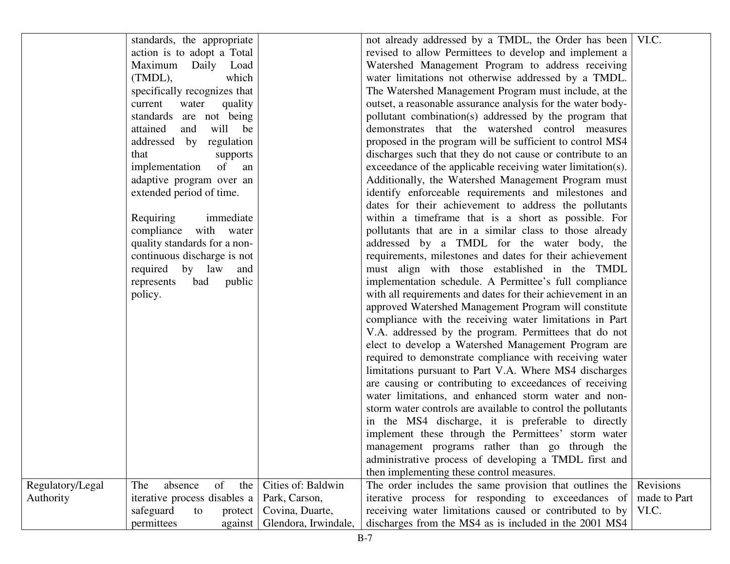|                  | standards, the appropriate   |                      | not already addressed by a TMDL, the Order has been   VI.C.  |              |
|------------------|------------------------------|----------------------|--------------------------------------------------------------|--------------|
|                  | action is to adopt a Total   |                      | revised to allow Permittees to develop and implement a       |              |
|                  | Maximum Daily Load           |                      | Watershed Management Program to address receiving            |              |
|                  | which<br>$(TMDL)$ ,          |                      | water limitations not otherwise addressed by a TMDL.         |              |
|                  | specifically recognizes that |                      | The Watershed Management Program must include, at the        |              |
|                  | current<br>water<br>quality  |                      | outset, a reasonable assurance analysis for the water body-  |              |
|                  | standards are not being      |                      | pollutant combination(s) addressed by the program that       |              |
|                  | attained<br>and<br>will be   |                      | demonstrates that the watershed control measures             |              |
|                  | addressed by regulation      |                      | proposed in the program will be sufficient to control MS4    |              |
|                  | that<br>supports             |                      | discharges such that they do not cause or contribute to an   |              |
|                  | implementation<br>of<br>an   |                      | exceedance of the applicable receiving water limitation(s).  |              |
|                  | adaptive program over an     |                      | Additionally, the Watershed Management Program must          |              |
|                  | extended period of time.     |                      | identify enforceable requirements and milestones and         |              |
|                  |                              |                      | dates for their achievement to address the pollutants        |              |
|                  | immediate<br>Requiring       |                      | within a timeframe that is a short as possible. For          |              |
|                  | compliance with water        |                      | pollutants that are in a similar class to those already      |              |
|                  | quality standards for a non- |                      | addressed by a TMDL for the water body, the                  |              |
|                  | continuous discharge is not  |                      | requirements, milestones and dates for their achievement     |              |
|                  | required by law and          |                      | must align with those established in the TMDL                |              |
|                  | bad public<br>represents     |                      | implementation schedule. A Permittee's full compliance       |              |
|                  | policy.                      |                      | with all requirements and dates for their achievement in an  |              |
|                  |                              |                      | approved Watershed Management Program will constitute        |              |
|                  |                              |                      | compliance with the receiving water limitations in Part      |              |
|                  |                              |                      | V.A. addressed by the program. Permittees that do not        |              |
|                  |                              |                      | elect to develop a Watershed Management Program are          |              |
|                  |                              |                      | required to demonstrate compliance with receiving water      |              |
|                  |                              |                      | limitations pursuant to Part V.A. Where MS4 discharges       |              |
|                  |                              |                      | are causing or contributing to exceedances of receiving      |              |
|                  |                              |                      | water limitations, and enhanced storm water and non-         |              |
|                  |                              |                      | storm water controls are available to control the pollutants |              |
|                  |                              |                      | in the MS4 discharge, it is preferable to directly           |              |
|                  |                              |                      | implement these through the Permittees' storm water          |              |
|                  |                              |                      | management programs rather than go through the               |              |
|                  |                              |                      | administrative process of developing a TMDL first and        |              |
|                  |                              |                      | then implementing these control measures.                    |              |
| Regulatory/Legal | of<br>The<br>absence<br>the  | Cities of: Baldwin   | The order includes the same provision that outlines the      | Revisions    |
| Authority        | iterative process disables a | Park, Carson,        | iterative process for responding to exceedances of           | made to Part |
|                  | safeguard<br>to<br>protect   | Covina, Duarte,      | receiving water limitations caused or contributed to by      | VI.C.        |
|                  | permittees<br>against        | Glendora, Irwindale, | discharges from the MS4 as is included in the 2001 MS4       |              |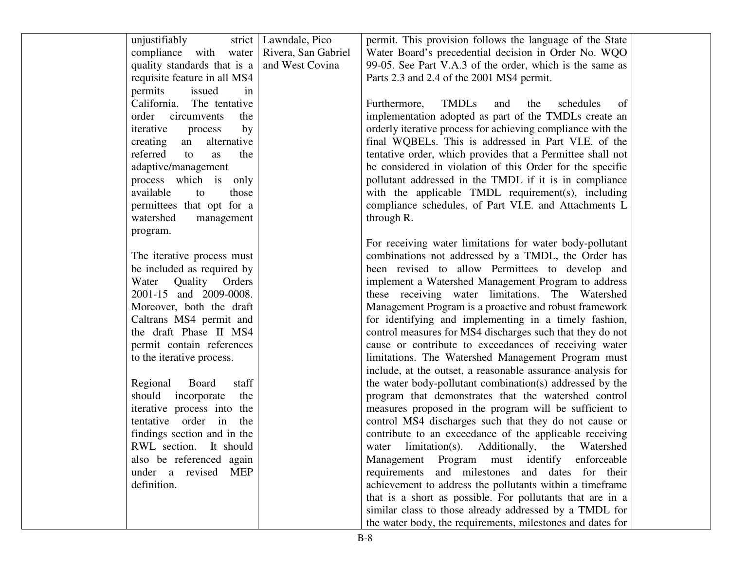| unjustifiably                                       | strict   Lawndale, Pico | permit. This provision follows the language of the State      |  |
|-----------------------------------------------------|-------------------------|---------------------------------------------------------------|--|
| compliance with water   Rivera, San Gabriel         |                         | Water Board's precedential decision in Order No. WQO          |  |
| quality standards that is a $\vert$ and West Covina |                         | 99-05. See Part V.A.3 of the order, which is the same as      |  |
| requisite feature in all MS4                        |                         | Parts 2.3 and 2.4 of the 2001 MS4 permit.                     |  |
| permits<br>issued<br>in                             |                         |                                                               |  |
| California. The tentative                           |                         | <b>TMDLs</b><br>Furthermore,<br>schedules<br>and<br>the<br>of |  |
| order circumvents<br>the                            |                         | implementation adopted as part of the TMDLs create an         |  |
| iterative<br>by<br>process                          |                         | orderly iterative process for achieving compliance with the   |  |
| creating<br>alternative<br>an                       |                         | final WQBELs. This is addressed in Part VI.E. of the          |  |
| referred<br>the<br>to<br>as                         |                         | tentative order, which provides that a Permittee shall not    |  |
| adaptive/management                                 |                         | be considered in violation of this Order for the specific     |  |
| process which is only                               |                         | pollutant addressed in the TMDL if it is in compliance        |  |
| available<br>those<br>to                            |                         | with the applicable TMDL requirement(s), including            |  |
| permittees that opt for a                           |                         | compliance schedules, of Part VI.E. and Attachments L         |  |
| watershed<br>management                             |                         | through R.                                                    |  |
| program.                                            |                         |                                                               |  |
|                                                     |                         | For receiving water limitations for water body-pollutant      |  |
| The iterative process must                          |                         | combinations not addressed by a TMDL, the Order has           |  |
| be included as required by                          |                         | been revised to allow Permittees to develop and               |  |
| Water Quality Orders                                |                         | implement a Watershed Management Program to address           |  |
| 2001-15 and 2009-0008.                              |                         | these receiving water limitations. The Watershed              |  |
| Moreover, both the draft                            |                         | Management Program is a proactive and robust framework        |  |
| Caltrans MS4 permit and                             |                         | for identifying and implementing in a timely fashion,         |  |
| the draft Phase II MS4                              |                         | control measures for MS4 discharges such that they do not     |  |
| permit contain references                           |                         | cause or contribute to exceedances of receiving water         |  |
| to the iterative process.                           |                         | limitations. The Watershed Management Program must            |  |
|                                                     |                         | include, at the outset, a reasonable assurance analysis for   |  |
| Regional<br>Board<br>staff                          |                         | the water body-pollutant combination(s) addressed by the      |  |
| should incorporate<br>the                           |                         | program that demonstrates that the watershed control          |  |
| iterative process into the                          |                         | measures proposed in the program will be sufficient to        |  |
| tentative order in<br>the                           |                         | control MS4 discharges such that they do not cause or         |  |
| findings section and in the                         |                         | contribute to an exceedance of the applicable receiving       |  |
| RWL section. It should                              |                         | water limitation(s). Additionally, the Watershed              |  |
| also be referenced again                            |                         | enforceable                                                   |  |
| MEP                                                 |                         | Program must identify<br>Management<br>and milestones         |  |
| under a revised                                     |                         | requirements<br>and dates for their                           |  |
| definition.                                         |                         | achievement to address the pollutants within a timeframe      |  |
|                                                     |                         | that is a short as possible. For pollutants that are in a     |  |
|                                                     |                         | similar class to those already addressed by a TMDL for        |  |
|                                                     |                         | the water body, the requirements, milestones and dates for    |  |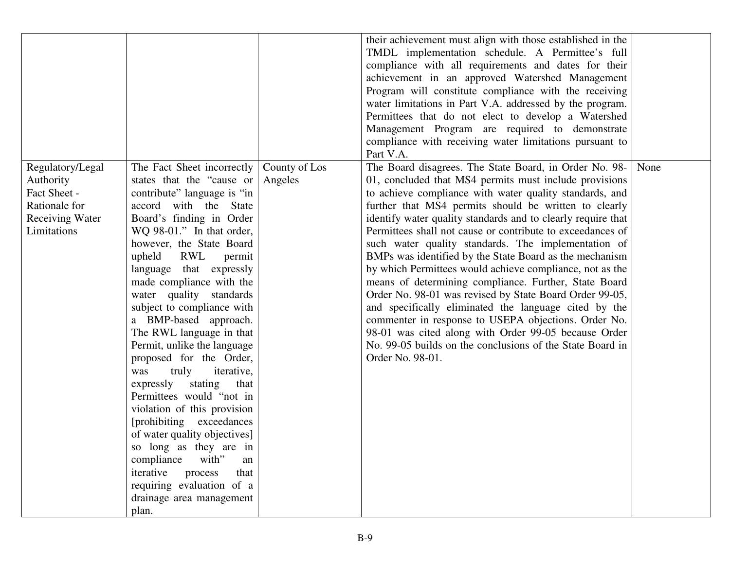|                                                                                                         |                                                                                                                                                                                                                                                                                                                                                                                                                                                                                                                                                                                                                                                                                                                                                                                                                     |                          | their achievement must align with those established in the<br>TMDL implementation schedule. A Permittee's full<br>compliance with all requirements and dates for their<br>achievement in an approved Watershed Management<br>Program will constitute compliance with the receiving<br>water limitations in Part V.A. addressed by the program.                                                                                                                                                                                                                                                                                                                                                                                                                                                                                                                                                                                 |      |
|---------------------------------------------------------------------------------------------------------|---------------------------------------------------------------------------------------------------------------------------------------------------------------------------------------------------------------------------------------------------------------------------------------------------------------------------------------------------------------------------------------------------------------------------------------------------------------------------------------------------------------------------------------------------------------------------------------------------------------------------------------------------------------------------------------------------------------------------------------------------------------------------------------------------------------------|--------------------------|--------------------------------------------------------------------------------------------------------------------------------------------------------------------------------------------------------------------------------------------------------------------------------------------------------------------------------------------------------------------------------------------------------------------------------------------------------------------------------------------------------------------------------------------------------------------------------------------------------------------------------------------------------------------------------------------------------------------------------------------------------------------------------------------------------------------------------------------------------------------------------------------------------------------------------|------|
|                                                                                                         |                                                                                                                                                                                                                                                                                                                                                                                                                                                                                                                                                                                                                                                                                                                                                                                                                     |                          | Permittees that do not elect to develop a Watershed<br>Management Program are required to demonstrate                                                                                                                                                                                                                                                                                                                                                                                                                                                                                                                                                                                                                                                                                                                                                                                                                          |      |
|                                                                                                         |                                                                                                                                                                                                                                                                                                                                                                                                                                                                                                                                                                                                                                                                                                                                                                                                                     |                          | compliance with receiving water limitations pursuant to<br>Part V.A.                                                                                                                                                                                                                                                                                                                                                                                                                                                                                                                                                                                                                                                                                                                                                                                                                                                           |      |
| Regulatory/Legal<br>Authority<br>Fact Sheet -<br>Rationale for<br><b>Receiving Water</b><br>Limitations | The Fact Sheet incorrectly<br>states that the "cause or<br>contribute" language is "in<br>accord with the State<br>Board's finding in Order<br>$WQ$ 98-01." In that order,<br>however, the State Board<br>RWL<br>upheld<br>permit<br>language that expressly<br>made compliance with the<br>water quality standards<br>subject to compliance with<br>a BMP-based approach.<br>The RWL language in that<br>Permit, unlike the language<br>proposed for the Order,<br>truly<br>was<br><i>iterative,</i><br>expressly stating<br>that<br>Permittees would "not in<br>violation of this provision<br>[prohibiting exceedances]<br>of water quality objectives]<br>so long as they are in<br>with"<br>compliance<br>an<br>process<br>iterative<br>that<br>requiring evaluation of a<br>drainage area management<br>plan. | County of Los<br>Angeles | The Board disagrees. The State Board, in Order No. 98-<br>01, concluded that MS4 permits must include provisions<br>to achieve compliance with water quality standards, and<br>further that MS4 permits should be written to clearly<br>identify water quality standards and to clearly require that<br>Permittees shall not cause or contribute to exceedances of<br>such water quality standards. The implementation of<br>BMPs was identified by the State Board as the mechanism<br>by which Permittees would achieve compliance, not as the<br>means of determining compliance. Further, State Board<br>Order No. 98-01 was revised by State Board Order 99-05,<br>and specifically eliminated the language cited by the<br>commenter in response to USEPA objections. Order No.<br>98-01 was cited along with Order 99-05 because Order<br>No. 99-05 builds on the conclusions of the State Board in<br>Order No. 98-01. | None |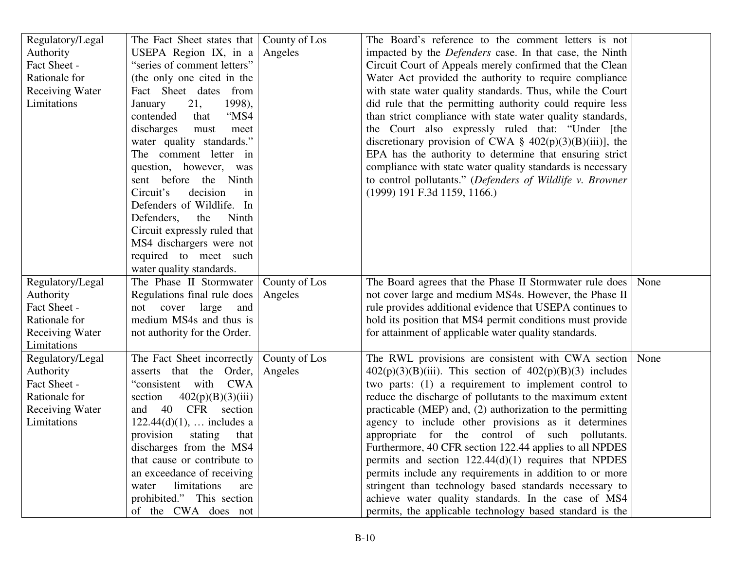| Regulatory/Legal       | The Fact Sheet states that   County of Los |               | The Board's reference to the comment letters is not           |      |
|------------------------|--------------------------------------------|---------------|---------------------------------------------------------------|------|
| Authority              | USEPA Region IX, in $a \mid$               | Angeles       | impacted by the Defenders case. In that case, the Ninth       |      |
| Fact Sheet -           | "series of comment letters"                |               | Circuit Court of Appeals merely confirmed that the Clean      |      |
| Rationale for          | (the only one cited in the                 |               | Water Act provided the authority to require compliance        |      |
| <b>Receiving Water</b> | Fact Sheet dates from                      |               | with state water quality standards. Thus, while the Court     |      |
| Limitations            | 21,<br>1998),<br>January                   |               | did rule that the permitting authority could require less     |      |
|                        | "MS4<br>contended<br>that                  |               | than strict compliance with state water quality standards,    |      |
|                        | discharges<br>must<br>meet                 |               | the Court also expressly ruled that: "Under [the              |      |
|                        | water quality standards."                  |               | discretionary provision of CWA $\S$ 402(p)(3)(B)(iii)], the   |      |
|                        | The comment letter in                      |               | EPA has the authority to determine that ensuring strict       |      |
|                        | question, however, was                     |               | compliance with state water quality standards is necessary    |      |
|                        | sent before the Ninth                      |               | to control pollutants." (Defenders of Wildlife v. Browner     |      |
|                        | Circuit's<br>decision<br>in                |               | $(1999)$ 191 F.3d 1159, 1166.)                                |      |
|                        | Defenders of Wildlife. In                  |               |                                                               |      |
|                        | Defenders,<br>the<br>Ninth                 |               |                                                               |      |
|                        | Circuit expressly ruled that               |               |                                                               |      |
|                        | MS4 dischargers were not                   |               |                                                               |      |
|                        | required to meet such                      |               |                                                               |      |
|                        | water quality standards.                   |               |                                                               |      |
| Regulatory/Legal       | The Phase II Stormwater                    | County of Los | The Board agrees that the Phase II Stormwater rule does       | None |
| Authority              | Regulations final rule does                | Angeles       | not cover large and medium MS4s. However, the Phase II        |      |
| Fact Sheet -           | not cover large<br>and                     |               | rule provides additional evidence that USEPA continues to     |      |
| Rationale for          | medium MS4s and thus is                    |               | hold its position that MS4 permit conditions must provide     |      |
| <b>Receiving Water</b> | not authority for the Order.               |               | for attainment of applicable water quality standards.         |      |
| Limitations            |                                            |               |                                                               |      |
| Regulatory/Legal       | The Fact Sheet incorrectly                 | County of Los | The RWL provisions are consistent with CWA section            | None |
| Authority              | asserts that the Order,                    | Angeles       | $402(p)(3)(B)(iii)$ . This section of $402(p)(B)(3)$ includes |      |
| Fact Sheet -           | "consistent"<br>with<br><b>CWA</b>         |               | two parts: (1) a requirement to implement control to          |      |
| Rationale for          | 402(p)(B)(3)(iii)<br>section               |               | reduce the discharge of pollutants to the maximum extent      |      |
| <b>Receiving Water</b> | 40<br>CFR section<br>and                   |               | practicable (MEP) and, (2) authorization to the permitting    |      |
| Limitations            | $122.44(d)(1)$ ,  includes a               |               | agency to include other provisions as it determines           |      |
|                        | provision<br>stating<br>that               |               | appropriate for the control of such pollutants.               |      |
|                        | discharges from the MS4                    |               | Furthermore, 40 CFR section 122.44 applies to all NPDES       |      |
|                        | that cause or contribute to                |               | permits and section $122.44(d)(1)$ requires that NPDES        |      |
|                        | an exceedance of receiving                 |               | permits include any requirements in addition to or more       |      |
|                        | limitations<br>water<br>are                |               | stringent than technology based standards necessary to        |      |
|                        | prohibited." This section                  |               | achieve water quality standards. In the case of MS4           |      |
|                        | of the CWA does not                        |               | permits, the applicable technology based standard is the      |      |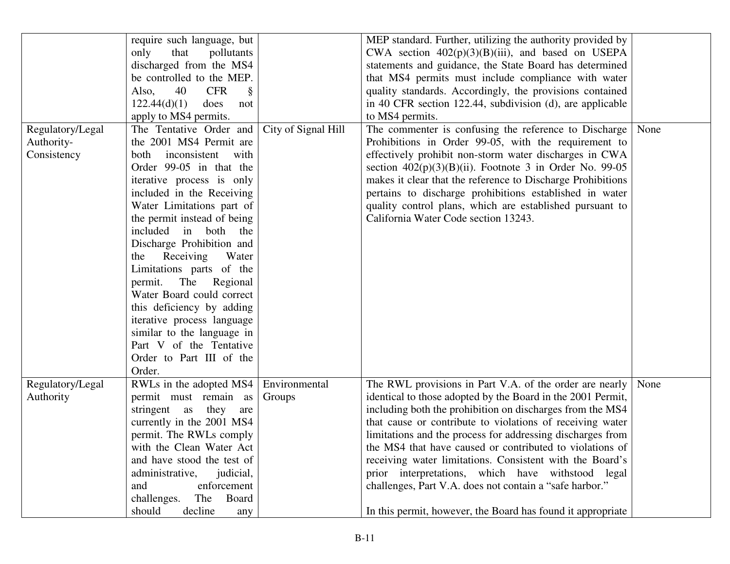|                  | require such language, but              |                     | MEP standard. Further, utilizing the authority provided by  |      |
|------------------|-----------------------------------------|---------------------|-------------------------------------------------------------|------|
|                  | only<br>that<br>pollutants              |                     | CWA section $402(p)(3)(B)(iii)$ , and based on USEPA        |      |
|                  | discharged from the MS4                 |                     | statements and guidance, the State Board has determined     |      |
|                  | be controlled to the MEP.               |                     | that MS4 permits must include compliance with water         |      |
|                  | 40<br><b>CFR</b><br>Also,<br>§          |                     | quality standards. Accordingly, the provisions contained    |      |
|                  | 122.44(d)(1)<br>does<br>not             |                     | in 40 CFR section 122.44, subdivision (d), are applicable   |      |
|                  | apply to MS4 permits.                   |                     | to MS4 permits.                                             |      |
| Regulatory/Legal | The Tentative Order and                 | City of Signal Hill | The commenter is confusing the reference to Discharge       | None |
| Authority-       | the 2001 MS4 Permit are                 |                     | Prohibitions in Order 99-05, with the requirement to        |      |
| Consistency      | inconsistent<br>both<br>with            |                     | effectively prohibit non-storm water discharges in CWA      |      |
|                  | Order 99-05 in that the                 |                     | section $402(p)(3)(B)(ii)$ . Footnote 3 in Order No. 99-05  |      |
|                  | iterative process is only               |                     | makes it clear that the reference to Discharge Prohibitions |      |
|                  | included in the Receiving               |                     | pertains to discharge prohibitions established in water     |      |
|                  | Water Limitations part of               |                     | quality control plans, which are established pursuant to    |      |
|                  | the permit instead of being             |                     | California Water Code section 13243.                        |      |
|                  | included<br>in both<br>the              |                     |                                                             |      |
|                  | Discharge Prohibition and               |                     |                                                             |      |
|                  | Receiving<br>Water<br>the               |                     |                                                             |      |
|                  | Limitations parts of the                |                     |                                                             |      |
|                  | permit.<br>The Regional                 |                     |                                                             |      |
|                  | Water Board could correct               |                     |                                                             |      |
|                  | this deficiency by adding               |                     |                                                             |      |
|                  | iterative process language              |                     |                                                             |      |
|                  | similar to the language in              |                     |                                                             |      |
|                  | Part V of the Tentative                 |                     |                                                             |      |
|                  | Order to Part III of the                |                     |                                                             |      |
|                  | Order.                                  |                     |                                                             |      |
| Regulatory/Legal | RWLs in the adopted MS4   Environmental |                     | The RWL provisions in Part V.A. of the order are nearly     | None |
| Authority        | permit must remain as                   | Groups              | identical to those adopted by the Board in the 2001 Permit, |      |
|                  | stringent as<br>they<br>are             |                     | including both the prohibition on discharges from the MS4   |      |
|                  | currently in the 2001 MS4               |                     | that cause or contribute to violations of receiving water   |      |
|                  | permit. The RWLs comply                 |                     | limitations and the process for addressing discharges from  |      |
|                  | with the Clean Water Act                |                     | the MS4 that have caused or contributed to violations of    |      |
|                  | and have stood the test of              |                     | receiving water limitations. Consistent with the Board's    |      |
|                  | administrative,<br>judicial,            |                     | prior interpretations, which have withstood legal           |      |
|                  | enforcement<br>and                      |                     | challenges, Part V.A. does not contain a "safe harbor."     |      |
|                  | challenges.<br>The<br>Board             |                     |                                                             |      |
|                  | should<br>decline<br>any                |                     | In this permit, however, the Board has found it appropriate |      |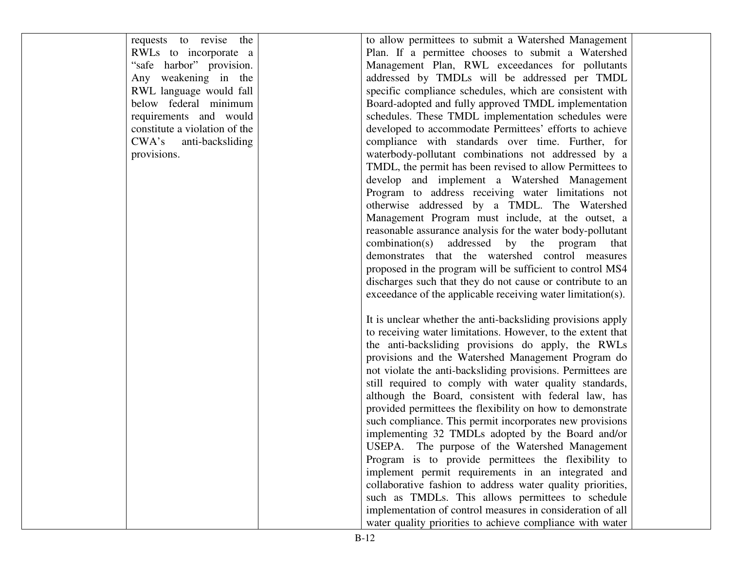requests to revise the RWLs to incorporate a "safe harbor" provision. Any weakening in the RWL language would fall below federal minimum requirements and would constitute a violation of the CWA's anti-backsliding provisions.

to allow permittees to submit a Watershed Management Plan. If a permittee chooses to submit a Watershed Management Plan, RWL exceedances for pollutants addressed by TMDLs will be addressed per TMDL specific compliance schedules, which are consistent with Board-adopted and fully approved TMDL implementation schedules. These TMDL implementation schedules were developed to accommodate Permittees' efforts to achieve compliance with standards over time. Further, for waterbody-pollutant combinations not addressed by a TMDL, the permit has been revised to allow Permittees to develop and implement a Watershed Management Program to address receiving water limitations not otherwise addressed by a TMDL. The Watershed Management Program must include, at the outset, a reasonable assurance analysis for the water body-pollutant combination(s) addressed by the program that demonstrates that the watershed control measures proposed in the program will be sufficient to control MS4 discharges such that they do not cause or contribute to an exceedance of the applicable receiving water limitation(s).

It is unclear whether the anti-backsliding provisions apply to receiving water limitations. However, to the extent that the anti-backsliding provisions do apply, the RWLs provisions and the Watershed Management Program do not violate the anti-backsliding provisions. Permittees are still required to comply with water quality standards, although the Board, consistent with federal law, has provided permittees the flexibility on how to demonstrate such compliance. This permit incorporates new provisions implementing 32 TMDLs adopted by the Board and/or USEPA. The purpose of the Watershed Management Program is to provide permittees the flexibility to implement permit requirements in an integrated and collaborative fashion to address water quality priorities, such as TMDLs. This allows permittees to schedule implementation of control measures in consideration of all water quality priorities to achieve compliance with water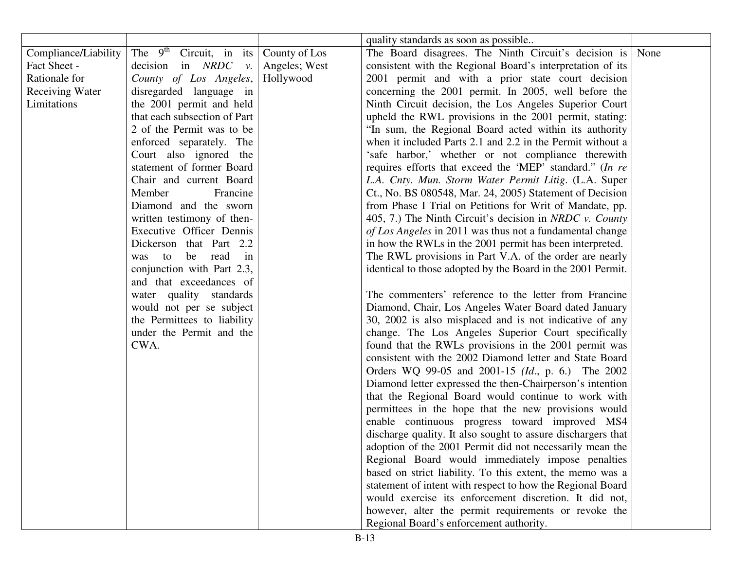|                        |                                            |               | quality standards as soon as possible                        |  |
|------------------------|--------------------------------------------|---------------|--------------------------------------------------------------|--|
| Compliance/Liability   | The $9^{th}$ Circuit, in its County of Los |               | The Board disagrees. The Ninth Circuit's decision is None    |  |
| Fact Sheet -           | decision in NRDC<br>$\mathcal{V}$ .        | Angeles; West | consistent with the Regional Board's interpretation of its   |  |
| Rationale for          | County of Los Angeles,                     | Hollywood     | 2001 permit and with a prior state court decision            |  |
| <b>Receiving Water</b> | disregarded language in                    |               | concerning the 2001 permit. In 2005, well before the         |  |
| Limitations            | the 2001 permit and held                   |               | Ninth Circuit decision, the Los Angeles Superior Court       |  |
|                        | that each subsection of Part               |               | upheld the RWL provisions in the 2001 permit, stating:       |  |
|                        | 2 of the Permit was to be                  |               | "In sum, the Regional Board acted within its authority       |  |
|                        | enforced separately. The                   |               | when it included Parts 2.1 and 2.2 in the Permit without a   |  |
|                        | Court also ignored the                     |               | 'safe harbor,' whether or not compliance therewith           |  |
|                        | statement of former Board                  |               | requires efforts that exceed the 'MEP' standard." (In re     |  |
|                        | Chair and current Board                    |               | L.A. Cnty. Mun. Storm Water Permit Litig. (L.A. Super        |  |
|                        | Member<br>Francine                         |               | Ct., No. BS 080548, Mar. 24, 2005) Statement of Decision     |  |
|                        | Diamond and the sworn                      |               | from Phase I Trial on Petitions for Writ of Mandate, pp.     |  |
|                        | written testimony of then-                 |               | 405, 7.) The Ninth Circuit's decision in NRDC v. County      |  |
|                        | Executive Officer Dennis                   |               | of Los Angeles in 2011 was thus not a fundamental change     |  |
|                        | Dickerson that Part 2.2                    |               | in how the RWLs in the 2001 permit has been interpreted.     |  |
|                        | be read<br>was<br>to<br>in                 |               | The RWL provisions in Part V.A. of the order are nearly      |  |
|                        | conjunction with Part 2.3,                 |               | identical to those adopted by the Board in the 2001 Permit.  |  |
|                        | and that exceedances of                    |               |                                                              |  |
|                        | water quality standards                    |               | The commenters' reference to the letter from Francine        |  |
|                        | would not per se subject                   |               | Diamond, Chair, Los Angeles Water Board dated January        |  |
|                        | the Permittees to liability                |               | 30, 2002 is also misplaced and is not indicative of any      |  |
|                        | under the Permit and the                   |               | change. The Los Angeles Superior Court specifically          |  |
|                        | CWA.                                       |               | found that the RWLs provisions in the 2001 permit was        |  |
|                        |                                            |               | consistent with the 2002 Diamond letter and State Board      |  |
|                        |                                            |               | Orders WQ 99-05 and 2001-15 (Id., p. 6.) The 2002            |  |
|                        |                                            |               | Diamond letter expressed the then-Chairperson's intention    |  |
|                        |                                            |               | that the Regional Board would continue to work with          |  |
|                        |                                            |               | permittees in the hope that the new provisions would         |  |
|                        |                                            |               | enable continuous progress toward improved MS4               |  |
|                        |                                            |               | discharge quality. It also sought to assure dischargers that |  |
|                        |                                            |               | adoption of the 2001 Permit did not necessarily mean the     |  |
|                        |                                            |               | Regional Board would immediately impose penalties            |  |
|                        |                                            |               | based on strict liability. To this extent, the memo was a    |  |
|                        |                                            |               | statement of intent with respect to how the Regional Board   |  |
|                        |                                            |               | would exercise its enforcement discretion. It did not,       |  |
|                        |                                            |               | however, alter the permit requirements or revoke the         |  |
|                        |                                            |               | Regional Board's enforcement authority.                      |  |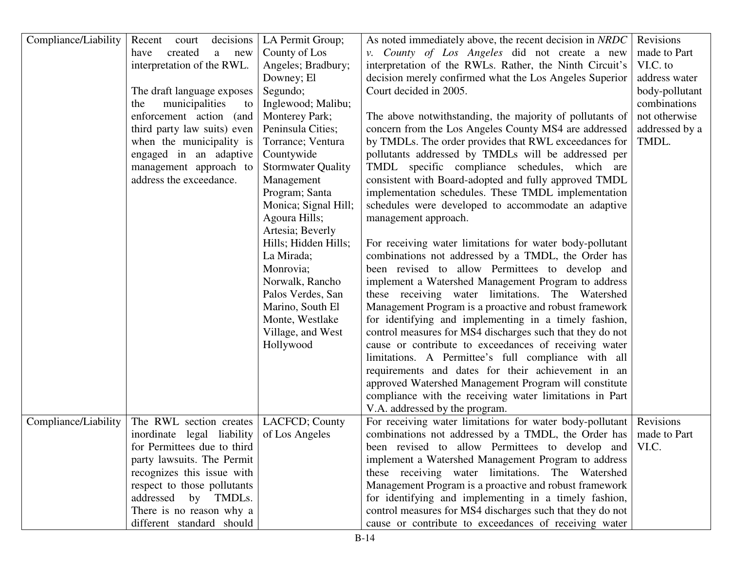| Compliance/Liability | Recent court<br>decisions                | LA Permit Group;          | As noted immediately above, the recent decision in NRDC              | Revisions      |
|----------------------|------------------------------------------|---------------------------|----------------------------------------------------------------------|----------------|
|                      | created<br>a new<br>have                 | County of Los             | v. County of Los Angeles did not create a new                        | made to Part   |
|                      | interpretation of the RWL.               | Angeles; Bradbury;        | interpretation of the RWLs. Rather, the Ninth Circuit's              | VI.C. to       |
|                      |                                          | Downey; El                | decision merely confirmed what the Los Angeles Superior              | address water  |
|                      | The draft language exposes               | Segundo;                  | Court decided in 2005.                                               | body-pollutant |
|                      | municipalities<br>the<br>to              | Inglewood; Malibu;        |                                                                      | combinations   |
|                      | enforcement action (and                  | Monterey Park;            | The above notwithstanding, the majority of pollutants of             | not otherwise  |
|                      | third party law suits) even              | Peninsula Cities;         | concern from the Los Angeles County MS4 are addressed                | addressed by a |
|                      | when the municipality is                 | Torrance; Ventura         | by TMDLs. The order provides that RWL exceedances for                | TMDL.          |
|                      | engaged in an adaptive                   | Countywide                | pollutants addressed by TMDLs will be addressed per                  |                |
|                      | management approach to                   | <b>Stormwater Quality</b> | TMDL specific compliance schedules, which are                        |                |
|                      | address the exceedance.                  | Management                | consistent with Board-adopted and fully approved TMDL                |                |
|                      |                                          | Program; Santa            | implementation schedules. These TMDL implementation                  |                |
|                      |                                          | Monica; Signal Hill;      | schedules were developed to accommodate an adaptive                  |                |
|                      |                                          | Agoura Hills;             | management approach.                                                 |                |
|                      |                                          | Artesia; Beverly          |                                                                      |                |
|                      |                                          | Hills; Hidden Hills;      | For receiving water limitations for water body-pollutant             |                |
|                      |                                          | La Mirada;                | combinations not addressed by a TMDL, the Order has                  |                |
|                      |                                          | Monrovia;                 | been revised to allow Permittees to develop and                      |                |
|                      |                                          | Norwalk, Rancho           | implement a Watershed Management Program to address                  |                |
|                      |                                          | Palos Verdes, San         | these receiving water limitations. The Watershed                     |                |
|                      |                                          | Marino, South El          | Management Program is a proactive and robust framework               |                |
|                      |                                          | Monte, Westlake           | for identifying and implementing in a timely fashion,                |                |
|                      |                                          | Village, and West         | control measures for MS4 discharges such that they do not            |                |
|                      |                                          | Hollywood                 | cause or contribute to exceedances of receiving water                |                |
|                      |                                          |                           | limitations. A Permittee's full compliance with all                  |                |
|                      |                                          |                           |                                                                      |                |
|                      |                                          |                           | requirements and dates for their achievement in an                   |                |
|                      |                                          |                           | approved Watershed Management Program will constitute                |                |
|                      |                                          |                           | compliance with the receiving water limitations in Part              |                |
|                      |                                          |                           | V.A. addressed by the program.                                       |                |
| Compliance/Liability | The RWL section creates   LACFCD; County |                           | For receiving water limitations for water body-pollutant   Revisions |                |
|                      | inordinate legal liability               | of Los Angeles            | combinations not addressed by a TMDL, the Order has                  | made to Part   |
|                      | for Permittees due to third              |                           | been revised to allow Permittees to develop and VI.C.                |                |
|                      | party lawsuits. The Permit               |                           | implement a Watershed Management Program to address                  |                |
|                      | recognizes this issue with               |                           | these receiving water limitations. The Watershed                     |                |
|                      | respect to those pollutants              |                           | Management Program is a proactive and robust framework               |                |
|                      | addressed by TMDLs.                      |                           | for identifying and implementing in a timely fashion,                |                |
|                      | There is no reason why a                 |                           | control measures for MS4 discharges such that they do not            |                |
|                      | different standard should                |                           | cause or contribute to exceedances of receiving water                |                |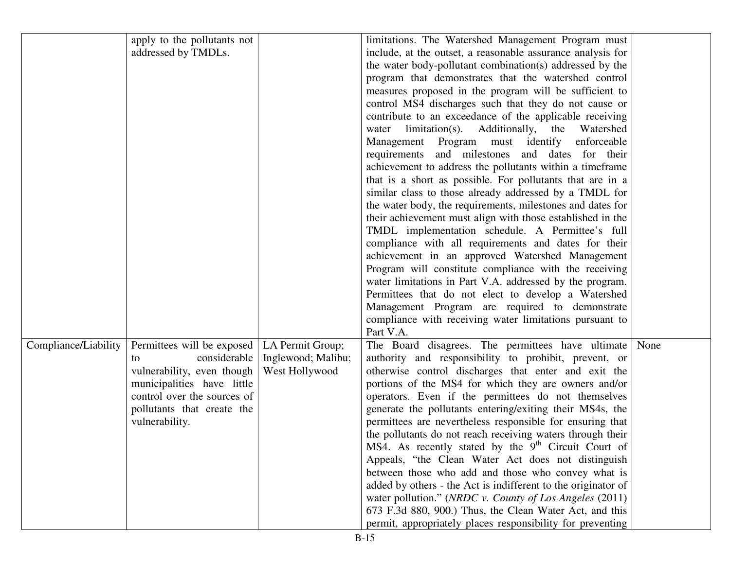|                      | apply to the pollutants not |                    | limitations. The Watershed Management Program must              |      |
|----------------------|-----------------------------|--------------------|-----------------------------------------------------------------|------|
|                      | addressed by TMDLs.         |                    | include, at the outset, a reasonable assurance analysis for     |      |
|                      |                             |                    | the water body-pollutant combination(s) addressed by the        |      |
|                      |                             |                    | program that demonstrates that the watershed control            |      |
|                      |                             |                    | measures proposed in the program will be sufficient to          |      |
|                      |                             |                    | control MS4 discharges such that they do not cause or           |      |
|                      |                             |                    | contribute to an exceedance of the applicable receiving         |      |
|                      |                             |                    | water limitation(s). Additionally, the Watershed                |      |
|                      |                             |                    | Management Program must identify<br>enforceable                 |      |
|                      |                             |                    | requirements and milestones and dates for their                 |      |
|                      |                             |                    | achievement to address the pollutants within a timeframe        |      |
|                      |                             |                    | that is a short as possible. For pollutants that are in a       |      |
|                      |                             |                    | similar class to those already addressed by a TMDL for          |      |
|                      |                             |                    | the water body, the requirements, milestones and dates for      |      |
|                      |                             |                    | their achievement must align with those established in the      |      |
|                      |                             |                    | TMDL implementation schedule. A Permittee's full                |      |
|                      |                             |                    | compliance with all requirements and dates for their            |      |
|                      |                             |                    | achievement in an approved Watershed Management                 |      |
|                      |                             |                    | Program will constitute compliance with the receiving           |      |
|                      |                             |                    | water limitations in Part V.A. addressed by the program.        |      |
|                      |                             |                    | Permittees that do not elect to develop a Watershed             |      |
|                      |                             |                    | Management Program are required to demonstrate                  |      |
|                      |                             |                    | compliance with receiving water limitations pursuant to         |      |
|                      |                             |                    | Part V.A.                                                       |      |
| Compliance/Liability | Permittees will be exposed  | LA Permit Group;   | The Board disagrees. The permittees have ultimate               | None |
|                      | considerable<br>to          | Inglewood; Malibu; | authority and responsibility to prohibit, prevent, or           |      |
|                      | vulnerability, even though  | West Hollywood     | otherwise control discharges that enter and exit the            |      |
|                      | municipalities have little  |                    | portions of the MS4 for which they are owners and/or            |      |
|                      | control over the sources of |                    | operators. Even if the permittees do not themselves             |      |
|                      | pollutants that create the  |                    | generate the pollutants entering/exiting their MS4s, the        |      |
|                      | vulnerability.              |                    | permittees are nevertheless responsible for ensuring that       |      |
|                      |                             |                    | the pollutants do not reach receiving waters through their      |      |
|                      |                             |                    | MS4. As recently stated by the 9 <sup>th</sup> Circuit Court of |      |
|                      |                             |                    | Appeals, "the Clean Water Act does not distinguish              |      |
|                      |                             |                    | between those who add and those who convey what is              |      |
|                      |                             |                    | added by others - the Act is indifferent to the originator of   |      |
|                      |                             |                    | water pollution." (NRDC v. County of Los Angeles (2011)         |      |
|                      |                             |                    | 673 F.3d 880, 900.) Thus, the Clean Water Act, and this         |      |
|                      |                             |                    | permit, appropriately places responsibility for preventing      |      |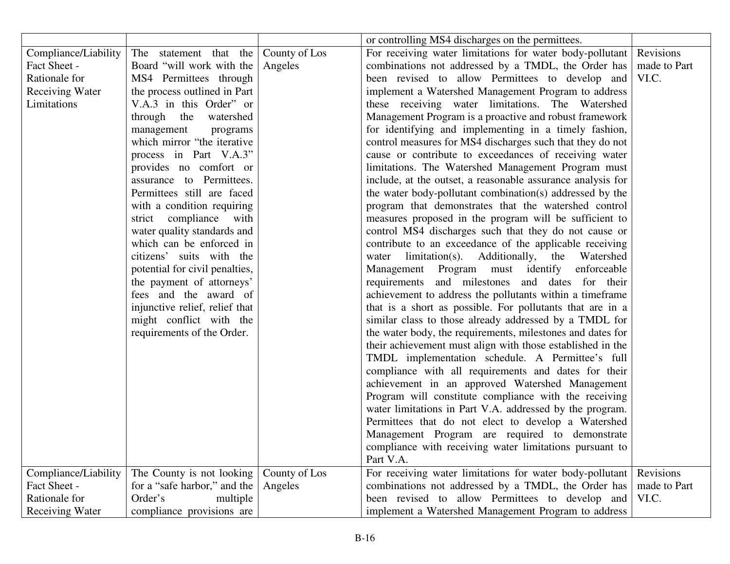|                        |                                |               | or controlling MS4 discharges on the permittees.            |              |
|------------------------|--------------------------------|---------------|-------------------------------------------------------------|--------------|
| Compliance/Liability   | The statement that the         | County of Los | For receiving water limitations for water body-pollutant    | Revisions    |
| Fact Sheet -           | Board "will work with the      | Angeles       | combinations not addressed by a TMDL, the Order has         | made to Part |
| Rationale for          | MS4 Permittees through         |               | been revised to allow Permittees to develop and             | VI.C.        |
| Receiving Water        | the process outlined in Part   |               | implement a Watershed Management Program to address         |              |
| Limitations            | V.A.3 in this Order" or        |               | these receiving water limitations. The Watershed            |              |
|                        | through the watershed          |               | Management Program is a proactive and robust framework      |              |
|                        | management<br>programs         |               | for identifying and implementing in a timely fashion,       |              |
|                        | which mirror "the iterative    |               | control measures for MS4 discharges such that they do not   |              |
|                        | process in Part V.A.3"         |               | cause or contribute to exceedances of receiving water       |              |
|                        | provides no comfort or         |               | limitations. The Watershed Management Program must          |              |
|                        | assurance to Permittees.       |               | include, at the outset, a reasonable assurance analysis for |              |
|                        | Permittees still are faced     |               | the water body-pollutant combination(s) addressed by the    |              |
|                        | with a condition requiring     |               | program that demonstrates that the watershed control        |              |
|                        | strict compliance with         |               | measures proposed in the program will be sufficient to      |              |
|                        | water quality standards and    |               | control MS4 discharges such that they do not cause or       |              |
|                        | which can be enforced in       |               | contribute to an exceedance of the applicable receiving     |              |
|                        | citizens' suits with the       |               | water limitation(s). Additionally, the Watershed            |              |
|                        | potential for civil penalties, |               | Management Program must identify enforceable                |              |
|                        | the payment of attorneys'      |               | requirements and milestones and dates for their             |              |
|                        | fees and the award of          |               | achievement to address the pollutants within a timeframe    |              |
|                        | injunctive relief, relief that |               | that is a short as possible. For pollutants that are in a   |              |
|                        | might conflict with the        |               | similar class to those already addressed by a TMDL for      |              |
|                        | requirements of the Order.     |               | the water body, the requirements, milestones and dates for  |              |
|                        |                                |               | their achievement must align with those established in the  |              |
|                        |                                |               | TMDL implementation schedule. A Permittee's full            |              |
|                        |                                |               | compliance with all requirements and dates for their        |              |
|                        |                                |               | achievement in an approved Watershed Management             |              |
|                        |                                |               | Program will constitute compliance with the receiving       |              |
|                        |                                |               | water limitations in Part V.A. addressed by the program.    |              |
|                        |                                |               | Permittees that do not elect to develop a Watershed         |              |
|                        |                                |               | Management Program are required to demonstrate              |              |
|                        |                                |               | compliance with receiving water limitations pursuant to     |              |
|                        |                                |               | Part V.A.                                                   |              |
| Compliance/Liability   | The County is not looking      | County of Los | For receiving water limitations for water body-pollutant    | Revisions    |
| Fact Sheet -           | for a "safe harbor," and the   | Angeles       | combinations not addressed by a TMDL, the Order has         | made to Part |
| Rationale for          | Order's<br>multiple            |               | been revised to allow Permittees to develop and             | VI.C.        |
| <b>Receiving Water</b> | compliance provisions are      |               | implement a Watershed Management Program to address         |              |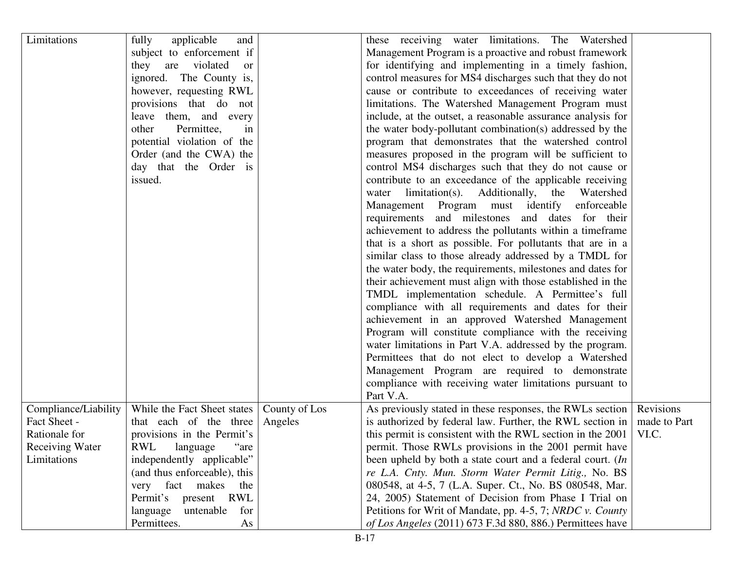| Limitations            | fully<br>applicable<br>and               |               | these receiving water limitations. The Watershed            |              |
|------------------------|------------------------------------------|---------------|-------------------------------------------------------------|--------------|
|                        | subject to enforcement if                |               | Management Program is a proactive and robust framework      |              |
|                        | violated<br>they<br>are<br><sub>or</sub> |               | for identifying and implementing in a timely fashion,       |              |
|                        | ignored. The County is,                  |               | control measures for MS4 discharges such that they do not   |              |
|                        | however, requesting RWL                  |               | cause or contribute to exceedances of receiving water       |              |
|                        | provisions that do not                   |               | limitations. The Watershed Management Program must          |              |
|                        | leave them, and every                    |               | include, at the outset, a reasonable assurance analysis for |              |
|                        | Permittee,<br>other<br>in                |               | the water body-pollutant combination(s) addressed by the    |              |
|                        | potential violation of the               |               | program that demonstrates that the watershed control        |              |
|                        | Order (and the CWA) the                  |               | measures proposed in the program will be sufficient to      |              |
|                        | day that the Order is                    |               | control MS4 discharges such that they do not cause or       |              |
|                        | issued.                                  |               | contribute to an exceedance of the applicable receiving     |              |
|                        |                                          |               | limitation(s). Additionally, the Watershed<br>water         |              |
|                        |                                          |               | Management Program must identify<br>enforceable             |              |
|                        |                                          |               | requirements and milestones and dates for their             |              |
|                        |                                          |               | achievement to address the pollutants within a timeframe    |              |
|                        |                                          |               | that is a short as possible. For pollutants that are in a   |              |
|                        |                                          |               | similar class to those already addressed by a TMDL for      |              |
|                        |                                          |               | the water body, the requirements, milestones and dates for  |              |
|                        |                                          |               | their achievement must align with those established in the  |              |
|                        |                                          |               | TMDL implementation schedule. A Permittee's full            |              |
|                        |                                          |               |                                                             |              |
|                        |                                          |               | compliance with all requirements and dates for their        |              |
|                        |                                          |               | achievement in an approved Watershed Management             |              |
|                        |                                          |               | Program will constitute compliance with the receiving       |              |
|                        |                                          |               | water limitations in Part V.A. addressed by the program.    |              |
|                        |                                          |               | Permittees that do not elect to develop a Watershed         |              |
|                        |                                          |               | Management Program are required to demonstrate              |              |
|                        |                                          |               | compliance with receiving water limitations pursuant to     |              |
|                        |                                          |               | Part V.A.                                                   |              |
| Compliance/Liability   | While the Fact Sheet states              | County of Los | As previously stated in these responses, the RWLs section   | Revisions    |
| Fact Sheet -           | that each of the three                   | Angeles       | is authorized by federal law. Further, the RWL section in   | made to Part |
| Rationale for          | provisions in the Permit's               |               | this permit is consistent with the RWL section in the 2001  | VI.C.        |
| <b>Receiving Water</b> | RWL<br>language<br>"are                  |               | permit. Those RWLs provisions in the 2001 permit have       |              |
| Limitations            | independently applicable"                |               | been upheld by both a state court and a federal court. (In  |              |
|                        | (and thus enforceable), this             |               | re L.A. Cnty. Mun. Storm Water Permit Litig., No. BS        |              |
|                        | very fact makes<br>the                   |               | 080548, at 4-5, 7 (L.A. Super. Ct., No. BS 080548, Mar.     |              |
|                        | Permit's present<br><b>RWL</b>           |               | 24, 2005) Statement of Decision from Phase I Trial on       |              |
|                        | language<br>untenable<br>for             |               | Petitions for Writ of Mandate, pp. 4-5, 7; NRDC v. County   |              |
|                        | Permittees.<br>As                        |               | of Los Angeles (2011) 673 F.3d 880, 886.) Permittees have   |              |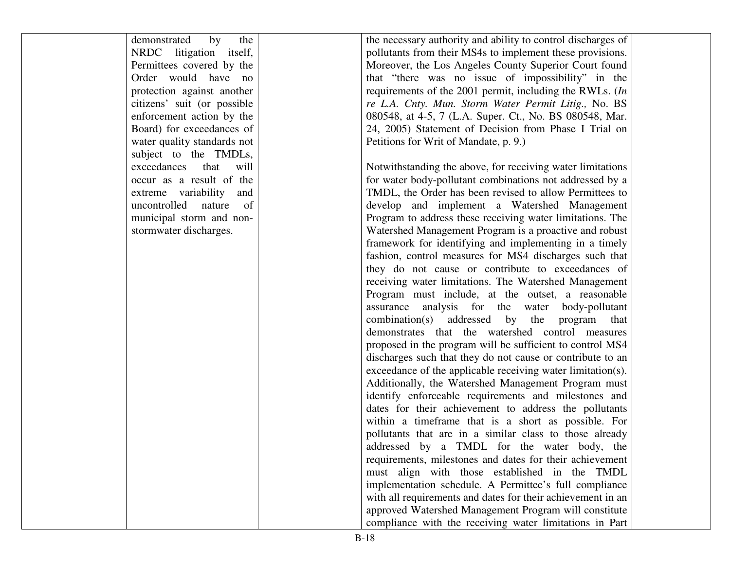demonstrated by the NRDC litigation itself, Permittees covered by the Order would have no protection against another citizens' suit (or possible enforcement action by the Board) for exceedances of water quality standards not subject to the TMDLs, exceedances that will occur as a result of the extreme variability and uncontrolled nature of municipal storm and nonstormwater discharges.

the necessary authority and ability to control discharges of pollutants from their MS4s to implement these provisions. Moreover, the Los Angeles County Superior Court found that "there was no issue of impossibility" in the requirements of the 2001 permit, including the RWLs. (*In re L.A. Cnty. Mun. Storm Water Permit Litig.,* No. BS 080548, at 4-5, 7 (L.A. Super. Ct., No. BS 080548, Mar. 24, 2005) Statement of Decision from Phase I Trial on Petitions for Writ of Mandate, p. 9.)

Notwithstanding the above, for receiving water limitations for water body-pollutant combinations not addressed by a TMDL, the Order has been revised to allow Permittees to develop and implement a Watershed Management Program to address these receiving water limitations. The Watershed Management Program is a proactive and robust framework for identifying and implementing in a timely fashion, control measures for MS4 discharges such that they do not cause or contribute to exceedances of receiving water limitations. The Watershed Management Program must include, at the outset, a reasonable assurance analysis for the water body-pollutant combination(s) addressed by the program that demonstrates that the watershed control measures proposed in the program will be sufficient to control MS4 discharges such that they do not cause or contribute to an exceedance of the applicable receiving water limitation(s). Additionally, the Watershed Management Program must identify enforceable requirements and milestones and dates for their achievement to address the pollutants within a timeframe that is a short as possible. For pollutants that are in a similar class to those already addressed by a TMDL for the water body, the requirements, milestones and dates for their achievement must align with those established in the TMDL implementation schedule. A Permittee's full compliance with all requirements and dates for their achievement in an approved Watershed Management Program will constitute compliance with the receiving water limitations in Part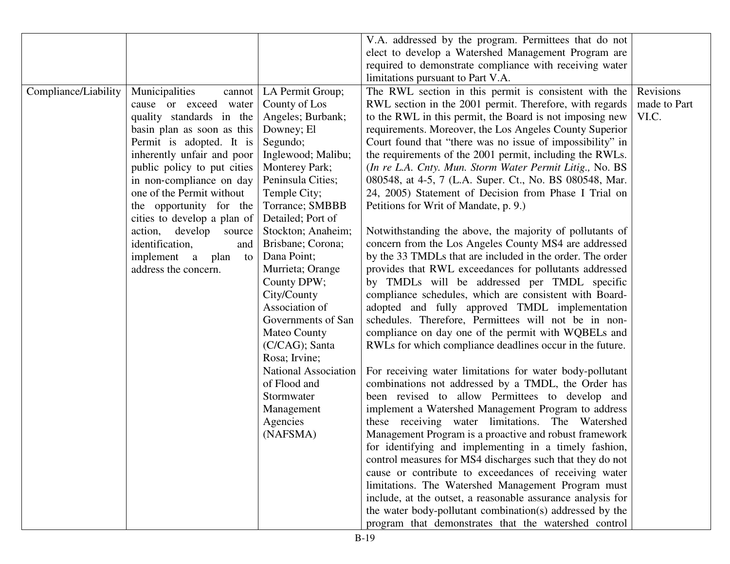|                      |                              |                             | V.A. addressed by the program. Permittees that do not       |              |
|----------------------|------------------------------|-----------------------------|-------------------------------------------------------------|--------------|
|                      |                              |                             | elect to develop a Watershed Management Program are         |              |
|                      |                              |                             | required to demonstrate compliance with receiving water     |              |
|                      |                              |                             | limitations pursuant to Part V.A.                           |              |
| Compliance/Liability | Municipalities<br>cannot     | LA Permit Group;            | The RWL section in this permit is consistent with the       | Revisions    |
|                      | cause or exceed water        | County of Los               | RWL section in the 2001 permit. Therefore, with regards     | made to Part |
|                      | quality standards in the     | Angeles; Burbank;           | to the RWL in this permit, the Board is not imposing new    | VI.C.        |
|                      | basin plan as soon as this   | Downey; El                  | requirements. Moreover, the Los Angeles County Superior     |              |
|                      | Permit is adopted. It is     | Segundo;                    | Court found that "there was no issue of impossibility" in   |              |
|                      | inherently unfair and poor   | Inglewood; Malibu;          | the requirements of the 2001 permit, including the RWLs.    |              |
|                      | public policy to put cities  | Monterey Park;              | (In re L.A. Cnty. Mun. Storm Water Permit Litig., No. BS    |              |
|                      | in non-compliance on day     | Peninsula Cities;           | 080548, at 4-5, 7 (L.A. Super. Ct., No. BS 080548, Mar.     |              |
|                      | one of the Permit without    | Temple City;                | 24, 2005) Statement of Decision from Phase I Trial on       |              |
|                      | the opportunity for the      | Torrance; SMBBB             | Petitions for Writ of Mandate, p. 9.)                       |              |
|                      | cities to develop a plan of  | Detailed; Port of           |                                                             |              |
|                      | develop<br>action,<br>source | Stockton; Anaheim;          | Notwithstanding the above, the majority of pollutants of    |              |
|                      | identification,<br>and       | Brisbane; Corona;           | concern from the Los Angeles County MS4 are addressed       |              |
|                      | implement a<br>plan<br>to    | Dana Point;                 | by the 33 TMDLs that are included in the order. The order   |              |
|                      | address the concern.         | Murrieta; Orange            | provides that RWL exceedances for pollutants addressed      |              |
|                      |                              | County DPW;                 | by TMDLs will be addressed per TMDL specific                |              |
|                      |                              | City/County                 | compliance schedules, which are consistent with Board-      |              |
|                      |                              | Association of              | adopted and fully approved TMDL implementation              |              |
|                      |                              | Governments of San          | schedules. Therefore, Permittees will not be in non-        |              |
|                      |                              | <b>Mateo County</b>         | compliance on day one of the permit with WQBELs and         |              |
|                      |                              | (C/CAG); Santa              | RWLs for which compliance deadlines occur in the future.    |              |
|                      |                              | Rosa; Irvine;               |                                                             |              |
|                      |                              | <b>National Association</b> | For receiving water limitations for water body-pollutant    |              |
|                      |                              | of Flood and                | combinations not addressed by a TMDL, the Order has         |              |
|                      |                              | Stormwater                  | been revised to allow Permittees to develop and             |              |
|                      |                              | Management                  | implement a Watershed Management Program to address         |              |
|                      |                              | Agencies                    | these receiving water limitations. The Watershed            |              |
|                      |                              | (NAFSMA)                    | Management Program is a proactive and robust framework      |              |
|                      |                              |                             | for identifying and implementing in a timely fashion,       |              |
|                      |                              |                             | control measures for MS4 discharges such that they do not   |              |
|                      |                              |                             | cause or contribute to exceedances of receiving water       |              |
|                      |                              |                             | limitations. The Watershed Management Program must          |              |
|                      |                              |                             | include, at the outset, a reasonable assurance analysis for |              |
|                      |                              |                             | the water body-pollutant combination(s) addressed by the    |              |
|                      |                              |                             | program that demonstrates that the watershed control        |              |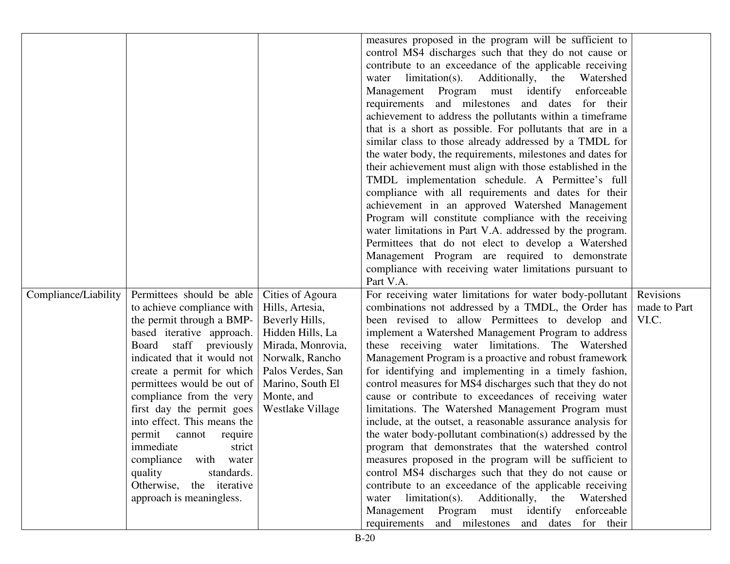|                      |                             |                   | measures proposed in the program will be sufficient to      |              |
|----------------------|-----------------------------|-------------------|-------------------------------------------------------------|--------------|
|                      |                             |                   | control MS4 discharges such that they do not cause or       |              |
|                      |                             |                   | contribute to an exceedance of the applicable receiving     |              |
|                      |                             |                   |                                                             |              |
|                      |                             |                   | limitation(s). Additionally, the<br>Watershed<br>water      |              |
|                      |                             |                   | Management Program must identify<br>enforceable             |              |
|                      |                             |                   | requirements and milestones and dates for their             |              |
|                      |                             |                   | achievement to address the pollutants within a timeframe    |              |
|                      |                             |                   | that is a short as possible. For pollutants that are in a   |              |
|                      |                             |                   | similar class to those already addressed by a TMDL for      |              |
|                      |                             |                   | the water body, the requirements, milestones and dates for  |              |
|                      |                             |                   | their achievement must align with those established in the  |              |
|                      |                             |                   | TMDL implementation schedule. A Permittee's full            |              |
|                      |                             |                   | compliance with all requirements and dates for their        |              |
|                      |                             |                   | achievement in an approved Watershed Management             |              |
|                      |                             |                   | Program will constitute compliance with the receiving       |              |
|                      |                             |                   | water limitations in Part V.A. addressed by the program.    |              |
|                      |                             |                   | Permittees that do not elect to develop a Watershed         |              |
|                      |                             |                   |                                                             |              |
|                      |                             |                   | Management Program are required to demonstrate              |              |
|                      |                             |                   | compliance with receiving water limitations pursuant to     |              |
|                      |                             |                   | Part V.A.                                                   |              |
| Compliance/Liability | Permittees should be able   | Cities of Agoura  | For receiving water limitations for water body-pollutant    | Revisions    |
|                      | to achieve compliance with  | Hills, Artesia,   | combinations not addressed by a TMDL, the Order has         | made to Part |
|                      | the permit through a BMP-   | Beverly Hills,    | been revised to allow Permittees to develop and             | VI.C.        |
|                      | based iterative approach.   | Hidden Hills, La  | implement a Watershed Management Program to address         |              |
|                      | staff previously<br>Board   | Mirada, Monrovia, | these receiving water limitations. The Watershed            |              |
|                      | indicated that it would not | Norwalk, Rancho   | Management Program is a proactive and robust framework      |              |
|                      | create a permit for which   | Palos Verdes, San | for identifying and implementing in a timely fashion,       |              |
|                      | permittees would be out of  | Marino, South El  | control measures for MS4 discharges such that they do not   |              |
|                      | compliance from the very    | Monte, and        | cause or contribute to exceedances of receiving water       |              |
|                      | first day the permit goes   | Westlake Village  | limitations. The Watershed Management Program must          |              |
|                      | into effect. This means the |                   | include, at the outset, a reasonable assurance analysis for |              |
|                      | permit<br>cannot require    |                   | the water body-pollutant combination(s) addressed by the    |              |
|                      | immediate<br>strict         |                   | program that demonstrates that the watershed control        |              |
|                      | compliance<br>with water    |                   | measures proposed in the program will be sufficient to      |              |
|                      | quality<br>standards.       |                   | control MS4 discharges such that they do not cause or       |              |
|                      | Otherwise, the iterative    |                   | contribute to an exceedance of the applicable receiving     |              |
|                      | approach is meaningless.    |                   | limitation(s). Additionally, the Watershed<br>water         |              |
|                      |                             |                   | Management Program must identify<br>enforceable             |              |
|                      |                             |                   |                                                             |              |
|                      |                             |                   | and milestones and dates for their<br>requirements          |              |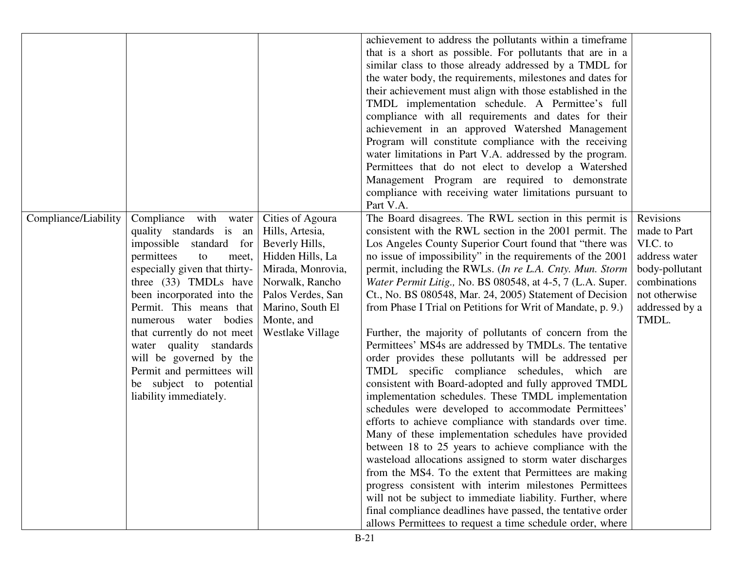|                      |                               |                   | achievement to address the pollutants within a timeframe             |                |
|----------------------|-------------------------------|-------------------|----------------------------------------------------------------------|----------------|
|                      |                               |                   | that is a short as possible. For pollutants that are in a            |                |
|                      |                               |                   | similar class to those already addressed by a TMDL for               |                |
|                      |                               |                   | the water body, the requirements, milestones and dates for           |                |
|                      |                               |                   | their achievement must align with those established in the           |                |
|                      |                               |                   | TMDL implementation schedule. A Permittee's full                     |                |
|                      |                               |                   | compliance with all requirements and dates for their                 |                |
|                      |                               |                   | achievement in an approved Watershed Management                      |                |
|                      |                               |                   | Program will constitute compliance with the receiving                |                |
|                      |                               |                   |                                                                      |                |
|                      |                               |                   | water limitations in Part V.A. addressed by the program.             |                |
|                      |                               |                   | Permittees that do not elect to develop a Watershed                  |                |
|                      |                               |                   | Management Program are required to demonstrate                       |                |
|                      |                               |                   | compliance with receiving water limitations pursuant to<br>Part V.A. |                |
| Compliance/Liability | Compliance with water         | Cities of Agoura  | The Board disagrees. The RWL section in this permit is               | Revisions      |
|                      | quality standards is an       | Hills, Artesia,   | consistent with the RWL section in the 2001 permit. The              | made to Part   |
|                      | impossible standard for       | Beverly Hills,    | Los Angeles County Superior Court found that "there was              | VI.C. to       |
|                      | permittees<br>to<br>meet,     | Hidden Hills, La  | no issue of impossibility" in the requirements of the 2001           | address water  |
|                      | especially given that thirty- | Mirada, Monrovia, | permit, including the RWLs. (In re L.A. Cnty. Mun. Storm             | body-pollutant |
|                      | three (33) TMDLs have         | Norwalk, Rancho   | Water Permit Litig., No. BS 080548, at 4-5, 7 (L.A. Super.           | combinations   |
|                      | been incorporated into the    | Palos Verdes, San | Ct., No. BS 080548, Mar. 24, 2005) Statement of Decision             | not otherwise  |
|                      | Permit. This means that       | Marino, South El  | from Phase I Trial on Petitions for Writ of Mandate, p. 9.)          | addressed by a |
|                      | numerous water bodies         | Monte, and        |                                                                      | TMDL.          |
|                      | that currently do not meet    | Westlake Village  | Further, the majority of pollutants of concern from the              |                |
|                      | water quality standards       |                   | Permittees' MS4s are addressed by TMDLs. The tentative               |                |
|                      | will be governed by the       |                   | order provides these pollutants will be addressed per                |                |
|                      | Permit and permittees will    |                   | TMDL specific compliance schedules, which are                        |                |
|                      | be subject to potential       |                   | consistent with Board-adopted and fully approved TMDL                |                |
|                      | liability immediately.        |                   | implementation schedules. These TMDL implementation                  |                |
|                      |                               |                   | schedules were developed to accommodate Permittees'                  |                |
|                      |                               |                   | efforts to achieve compliance with standards over time.              |                |
|                      |                               |                   | Many of these implementation schedules have provided                 |                |
|                      |                               |                   | between 18 to 25 years to achieve compliance with the                |                |
|                      |                               |                   | wasteload allocations assigned to storm water discharges             |                |
|                      |                               |                   |                                                                      |                |
|                      |                               |                   | from the MS4. To the extent that Permittees are making               |                |
|                      |                               |                   | progress consistent with interim milestones Permittees               |                |
|                      |                               |                   | will not be subject to immediate liability. Further, where           |                |
|                      |                               |                   | final compliance deadlines have passed, the tentative order          |                |
|                      |                               |                   | allows Permittees to request a time schedule order, where            |                |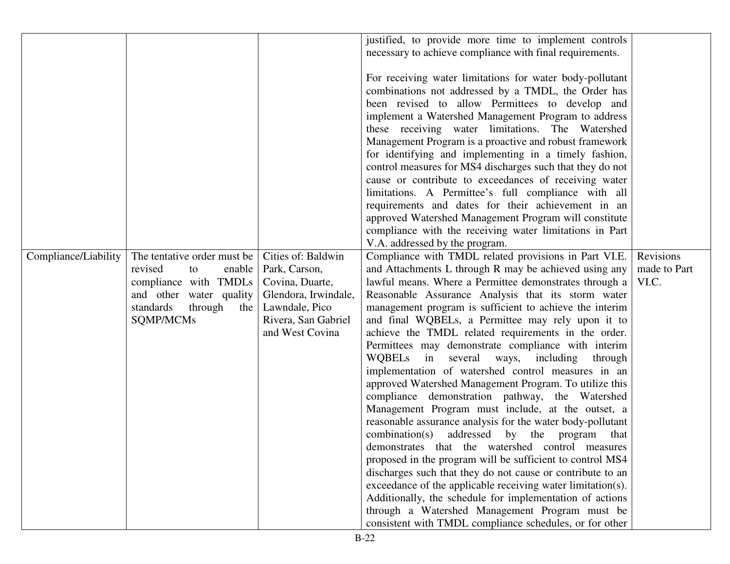|                      |                             |                      | justified, to provide more time to implement controls       |              |
|----------------------|-----------------------------|----------------------|-------------------------------------------------------------|--------------|
|                      |                             |                      |                                                             |              |
|                      |                             |                      | necessary to achieve compliance with final requirements.    |              |
|                      |                             |                      |                                                             |              |
|                      |                             |                      | For receiving water limitations for water body-pollutant    |              |
|                      |                             |                      | combinations not addressed by a TMDL, the Order has         |              |
|                      |                             |                      | been revised to allow Permittees to develop and             |              |
|                      |                             |                      | implement a Watershed Management Program to address         |              |
|                      |                             |                      | these receiving water limitations. The Watershed            |              |
|                      |                             |                      | Management Program is a proactive and robust framework      |              |
|                      |                             |                      |                                                             |              |
|                      |                             |                      | for identifying and implementing in a timely fashion,       |              |
|                      |                             |                      | control measures for MS4 discharges such that they do not   |              |
|                      |                             |                      | cause or contribute to exceedances of receiving water       |              |
|                      |                             |                      | limitations. A Permittee's full compliance with all         |              |
|                      |                             |                      | requirements and dates for their achievement in an          |              |
|                      |                             |                      | approved Watershed Management Program will constitute       |              |
|                      |                             |                      | compliance with the receiving water limitations in Part     |              |
|                      |                             |                      | V.A. addressed by the program.                              |              |
| Compliance/Liability | The tentative order must be | Cities of: Baldwin   | Compliance with TMDL related provisions in Part VI.E.       | Revisions    |
|                      |                             |                      |                                                             |              |
|                      | revised<br>enable<br>to     | Park, Carson,        | and Attachments L through R may be achieved using any       | made to Part |
|                      | compliance with TMDLs       | Covina, Duarte,      | lawful means. Where a Permittee demonstrates through a      | VI.C.        |
|                      | and other water quality     | Glendora, Irwindale, | Reasonable Assurance Analysis that its storm water          |              |
|                      | standards<br>through<br>the | Lawndale, Pico       | management program is sufficient to achieve the interim     |              |
|                      | SQMP/MCMs                   | Rivera, San Gabriel  | and final WQBELs, a Permittee may rely upon it to           |              |
|                      |                             | and West Covina      | achieve the TMDL related requirements in the order.         |              |
|                      |                             |                      | Permittees may demonstrate compliance with interim          |              |
|                      |                             |                      | WQBELs in several ways, including<br>through                |              |
|                      |                             |                      | implementation of watershed control measures in an          |              |
|                      |                             |                      | approved Watershed Management Program. To utilize this      |              |
|                      |                             |                      | compliance demonstration pathway, the Watershed             |              |
|                      |                             |                      |                                                             |              |
|                      |                             |                      | Management Program must include, at the outset, a           |              |
|                      |                             |                      | reasonable assurance analysis for the water body-pollutant  |              |
|                      |                             |                      | addressed by the program that<br>combination(s)             |              |
|                      |                             |                      | demonstrates that the watershed control measures            |              |
|                      |                             |                      | proposed in the program will be sufficient to control MS4   |              |
|                      |                             |                      | discharges such that they do not cause or contribute to an  |              |
|                      |                             |                      | exceedance of the applicable receiving water limitation(s). |              |
|                      |                             |                      | Additionally, the schedule for implementation of actions    |              |
|                      |                             |                      | through a Watershed Management Program must be              |              |
|                      |                             |                      | consistent with TMDL compliance schedules, or for other     |              |
|                      |                             |                      |                                                             |              |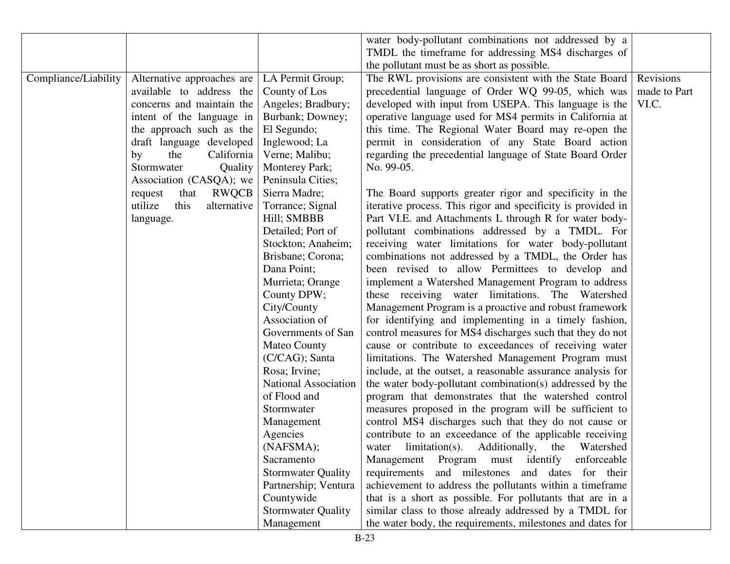|                      |                                 |                             | water body-pollutant combinations not addressed by a         |              |
|----------------------|---------------------------------|-----------------------------|--------------------------------------------------------------|--------------|
|                      |                                 |                             | TMDL the timeframe for addressing MS4 discharges of          |              |
|                      |                                 |                             | the pollutant must be as short as possible.                  |              |
| Compliance/Liability | Alternative approaches are      | LA Permit Group;            | The RWL provisions are consistent with the State Board       | Revisions    |
|                      | available to address the        | County of Los               | precedential language of Order WQ 99-05, which was           | made to Part |
|                      | concerns and maintain the       | Angeles; Bradbury;          | developed with input from USEPA. This language is the        | VI.C.        |
|                      | intent of the language in       | Burbank; Downey;            | operative language used for MS4 permits in California at     |              |
|                      | the approach such as the        | El Segundo;                 | this time. The Regional Water Board may re-open the          |              |
|                      | draft language developed        | Inglewood; La               | permit in consideration of any State Board action            |              |
|                      | California<br>the<br>by         | Verne; Malibu;              | regarding the precedential language of State Board Order     |              |
|                      | Stormwater<br>Quality           | Monterey Park;              | No. 99-05.                                                   |              |
|                      | Association (CASQA); we         | Peninsula Cities;           |                                                              |              |
|                      | <b>RWQCB</b><br>request<br>that | Sierra Madre;               | The Board supports greater rigor and specificity in the      |              |
|                      | utilize<br>this<br>alternative  | Torrance; Signal            | iterative process. This rigor and specificity is provided in |              |
|                      | language.                       | Hill; SMBBB                 | Part VI.E. and Attachments L through R for water body-       |              |
|                      |                                 | Detailed; Port of           | pollutant combinations addressed by a TMDL. For              |              |
|                      |                                 | Stockton; Anaheim;          | receiving water limitations for water body-pollutant         |              |
|                      |                                 | Brisbane; Corona;           | combinations not addressed by a TMDL, the Order has          |              |
|                      |                                 | Dana Point;                 | been revised to allow Permittees to develop and              |              |
|                      |                                 | Murrieta; Orange            | implement a Watershed Management Program to address          |              |
|                      |                                 | County DPW;                 | these receiving water limitations. The Watershed             |              |
|                      |                                 | City/County                 | Management Program is a proactive and robust framework       |              |
|                      |                                 | Association of              | for identifying and implementing in a timely fashion,        |              |
|                      |                                 | Governments of San          | control measures for MS4 discharges such that they do not    |              |
|                      |                                 | Mateo County                | cause or contribute to exceedances of receiving water        |              |
|                      |                                 | (C/CAG); Santa              | limitations. The Watershed Management Program must           |              |
|                      |                                 | Rosa; Irvine;               | include, at the outset, a reasonable assurance analysis for  |              |
|                      |                                 | <b>National Association</b> | the water body-pollutant combination(s) addressed by the     |              |
|                      |                                 | of Flood and                | program that demonstrates that the watershed control         |              |
|                      |                                 | Stormwater                  | measures proposed in the program will be sufficient to       |              |
|                      |                                 | Management                  | control MS4 discharges such that they do not cause or        |              |
|                      |                                 | Agencies                    | contribute to an exceedance of the applicable receiving      |              |
|                      |                                 | (NAFSMA);                   | water limitation(s). Additionally, the Watershed             |              |
|                      |                                 | Sacramento                  | must identify<br>enforceable<br>Management Program           |              |
|                      |                                 | <b>Stormwater Quality</b>   | requirements and milestones and dates for their              |              |
|                      |                                 | Partnership; Ventura        | achievement to address the pollutants within a timeframe     |              |
|                      |                                 | Countywide                  | that is a short as possible. For pollutants that are in a    |              |
|                      |                                 | <b>Stormwater Quality</b>   | similar class to those already addressed by a TMDL for       |              |
|                      |                                 | Management                  | the water body, the requirements, milestones and dates for   |              |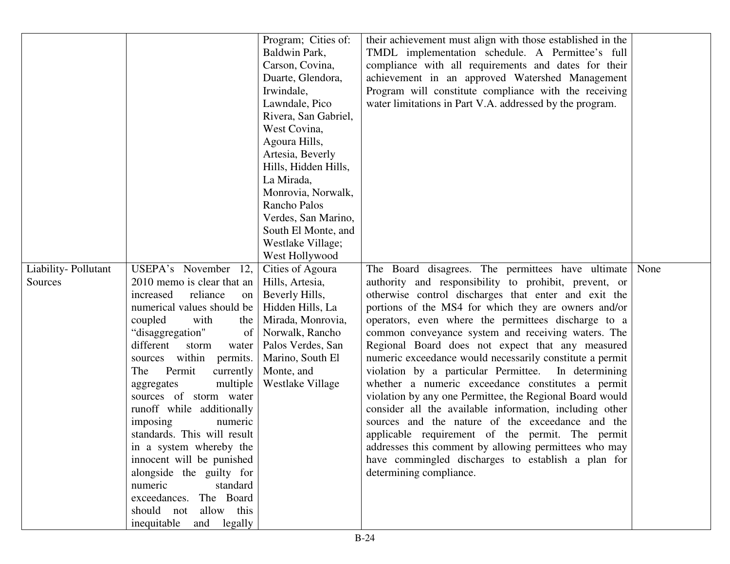|                     |                                                                                                                                                                                                                                                                                                                                                                                                                                                                                                                      | Program; Cities of:                                                                                                                                                      | their achievement must align with those established in the                                                                                                                                                                                                                                                                                                                                                                                                                                                                                                                                                                                                                                                                                                                                                                                                                                 |      |
|---------------------|----------------------------------------------------------------------------------------------------------------------------------------------------------------------------------------------------------------------------------------------------------------------------------------------------------------------------------------------------------------------------------------------------------------------------------------------------------------------------------------------------------------------|--------------------------------------------------------------------------------------------------------------------------------------------------------------------------|--------------------------------------------------------------------------------------------------------------------------------------------------------------------------------------------------------------------------------------------------------------------------------------------------------------------------------------------------------------------------------------------------------------------------------------------------------------------------------------------------------------------------------------------------------------------------------------------------------------------------------------------------------------------------------------------------------------------------------------------------------------------------------------------------------------------------------------------------------------------------------------------|------|
|                     |                                                                                                                                                                                                                                                                                                                                                                                                                                                                                                                      | Baldwin Park,                                                                                                                                                            | TMDL implementation schedule. A Permittee's full                                                                                                                                                                                                                                                                                                                                                                                                                                                                                                                                                                                                                                                                                                                                                                                                                                           |      |
|                     |                                                                                                                                                                                                                                                                                                                                                                                                                                                                                                                      | Carson, Covina,                                                                                                                                                          | compliance with all requirements and dates for their                                                                                                                                                                                                                                                                                                                                                                                                                                                                                                                                                                                                                                                                                                                                                                                                                                       |      |
|                     |                                                                                                                                                                                                                                                                                                                                                                                                                                                                                                                      | Duarte, Glendora,                                                                                                                                                        | achievement in an approved Watershed Management                                                                                                                                                                                                                                                                                                                                                                                                                                                                                                                                                                                                                                                                                                                                                                                                                                            |      |
|                     |                                                                                                                                                                                                                                                                                                                                                                                                                                                                                                                      | Irwindale,                                                                                                                                                               | Program will constitute compliance with the receiving                                                                                                                                                                                                                                                                                                                                                                                                                                                                                                                                                                                                                                                                                                                                                                                                                                      |      |
|                     |                                                                                                                                                                                                                                                                                                                                                                                                                                                                                                                      | Lawndale, Pico                                                                                                                                                           | water limitations in Part V.A. addressed by the program.                                                                                                                                                                                                                                                                                                                                                                                                                                                                                                                                                                                                                                                                                                                                                                                                                                   |      |
|                     |                                                                                                                                                                                                                                                                                                                                                                                                                                                                                                                      | Rivera, San Gabriel,                                                                                                                                                     |                                                                                                                                                                                                                                                                                                                                                                                                                                                                                                                                                                                                                                                                                                                                                                                                                                                                                            |      |
|                     |                                                                                                                                                                                                                                                                                                                                                                                                                                                                                                                      | West Covina,                                                                                                                                                             |                                                                                                                                                                                                                                                                                                                                                                                                                                                                                                                                                                                                                                                                                                                                                                                                                                                                                            |      |
|                     |                                                                                                                                                                                                                                                                                                                                                                                                                                                                                                                      | Agoura Hills,                                                                                                                                                            |                                                                                                                                                                                                                                                                                                                                                                                                                                                                                                                                                                                                                                                                                                                                                                                                                                                                                            |      |
|                     |                                                                                                                                                                                                                                                                                                                                                                                                                                                                                                                      | Artesia, Beverly                                                                                                                                                         |                                                                                                                                                                                                                                                                                                                                                                                                                                                                                                                                                                                                                                                                                                                                                                                                                                                                                            |      |
|                     |                                                                                                                                                                                                                                                                                                                                                                                                                                                                                                                      | Hills, Hidden Hills,                                                                                                                                                     |                                                                                                                                                                                                                                                                                                                                                                                                                                                                                                                                                                                                                                                                                                                                                                                                                                                                                            |      |
|                     |                                                                                                                                                                                                                                                                                                                                                                                                                                                                                                                      | La Mirada,                                                                                                                                                               |                                                                                                                                                                                                                                                                                                                                                                                                                                                                                                                                                                                                                                                                                                                                                                                                                                                                                            |      |
|                     |                                                                                                                                                                                                                                                                                                                                                                                                                                                                                                                      | Monrovia, Norwalk,                                                                                                                                                       |                                                                                                                                                                                                                                                                                                                                                                                                                                                                                                                                                                                                                                                                                                                                                                                                                                                                                            |      |
|                     |                                                                                                                                                                                                                                                                                                                                                                                                                                                                                                                      | Rancho Palos                                                                                                                                                             |                                                                                                                                                                                                                                                                                                                                                                                                                                                                                                                                                                                                                                                                                                                                                                                                                                                                                            |      |
|                     |                                                                                                                                                                                                                                                                                                                                                                                                                                                                                                                      | Verdes, San Marino,                                                                                                                                                      |                                                                                                                                                                                                                                                                                                                                                                                                                                                                                                                                                                                                                                                                                                                                                                                                                                                                                            |      |
|                     |                                                                                                                                                                                                                                                                                                                                                                                                                                                                                                                      | South El Monte, and                                                                                                                                                      |                                                                                                                                                                                                                                                                                                                                                                                                                                                                                                                                                                                                                                                                                                                                                                                                                                                                                            |      |
|                     |                                                                                                                                                                                                                                                                                                                                                                                                                                                                                                                      | Westlake Village;                                                                                                                                                        |                                                                                                                                                                                                                                                                                                                                                                                                                                                                                                                                                                                                                                                                                                                                                                                                                                                                                            |      |
|                     |                                                                                                                                                                                                                                                                                                                                                                                                                                                                                                                      | West Hollywood                                                                                                                                                           |                                                                                                                                                                                                                                                                                                                                                                                                                                                                                                                                                                                                                                                                                                                                                                                                                                                                                            |      |
| Liability-Pollutant | USEPA's November 12,                                                                                                                                                                                                                                                                                                                                                                                                                                                                                                 | Cities of Agoura                                                                                                                                                         | The Board disagrees. The permittees have ultimate                                                                                                                                                                                                                                                                                                                                                                                                                                                                                                                                                                                                                                                                                                                                                                                                                                          | None |
|                     |                                                                                                                                                                                                                                                                                                                                                                                                                                                                                                                      |                                                                                                                                                                          |                                                                                                                                                                                                                                                                                                                                                                                                                                                                                                                                                                                                                                                                                                                                                                                                                                                                                            |      |
|                     |                                                                                                                                                                                                                                                                                                                                                                                                                                                                                                                      |                                                                                                                                                                          |                                                                                                                                                                                                                                                                                                                                                                                                                                                                                                                                                                                                                                                                                                                                                                                                                                                                                            |      |
|                     |                                                                                                                                                                                                                                                                                                                                                                                                                                                                                                                      |                                                                                                                                                                          |                                                                                                                                                                                                                                                                                                                                                                                                                                                                                                                                                                                                                                                                                                                                                                                                                                                                                            |      |
|                     |                                                                                                                                                                                                                                                                                                                                                                                                                                                                                                                      |                                                                                                                                                                          |                                                                                                                                                                                                                                                                                                                                                                                                                                                                                                                                                                                                                                                                                                                                                                                                                                                                                            |      |
|                     |                                                                                                                                                                                                                                                                                                                                                                                                                                                                                                                      |                                                                                                                                                                          |                                                                                                                                                                                                                                                                                                                                                                                                                                                                                                                                                                                                                                                                                                                                                                                                                                                                                            |      |
|                     |                                                                                                                                                                                                                                                                                                                                                                                                                                                                                                                      |                                                                                                                                                                          |                                                                                                                                                                                                                                                                                                                                                                                                                                                                                                                                                                                                                                                                                                                                                                                                                                                                                            |      |
|                     |                                                                                                                                                                                                                                                                                                                                                                                                                                                                                                                      |                                                                                                                                                                          |                                                                                                                                                                                                                                                                                                                                                                                                                                                                                                                                                                                                                                                                                                                                                                                                                                                                                            |      |
|                     |                                                                                                                                                                                                                                                                                                                                                                                                                                                                                                                      |                                                                                                                                                                          |                                                                                                                                                                                                                                                                                                                                                                                                                                                                                                                                                                                                                                                                                                                                                                                                                                                                                            |      |
|                     |                                                                                                                                                                                                                                                                                                                                                                                                                                                                                                                      |                                                                                                                                                                          |                                                                                                                                                                                                                                                                                                                                                                                                                                                                                                                                                                                                                                                                                                                                                                                                                                                                                            |      |
|                     |                                                                                                                                                                                                                                                                                                                                                                                                                                                                                                                      |                                                                                                                                                                          |                                                                                                                                                                                                                                                                                                                                                                                                                                                                                                                                                                                                                                                                                                                                                                                                                                                                                            |      |
|                     |                                                                                                                                                                                                                                                                                                                                                                                                                                                                                                                      |                                                                                                                                                                          |                                                                                                                                                                                                                                                                                                                                                                                                                                                                                                                                                                                                                                                                                                                                                                                                                                                                                            |      |
|                     |                                                                                                                                                                                                                                                                                                                                                                                                                                                                                                                      |                                                                                                                                                                          |                                                                                                                                                                                                                                                                                                                                                                                                                                                                                                                                                                                                                                                                                                                                                                                                                                                                                            |      |
|                     |                                                                                                                                                                                                                                                                                                                                                                                                                                                                                                                      |                                                                                                                                                                          |                                                                                                                                                                                                                                                                                                                                                                                                                                                                                                                                                                                                                                                                                                                                                                                                                                                                                            |      |
|                     |                                                                                                                                                                                                                                                                                                                                                                                                                                                                                                                      |                                                                                                                                                                          |                                                                                                                                                                                                                                                                                                                                                                                                                                                                                                                                                                                                                                                                                                                                                                                                                                                                                            |      |
|                     |                                                                                                                                                                                                                                                                                                                                                                                                                                                                                                                      |                                                                                                                                                                          |                                                                                                                                                                                                                                                                                                                                                                                                                                                                                                                                                                                                                                                                                                                                                                                                                                                                                            |      |
|                     |                                                                                                                                                                                                                                                                                                                                                                                                                                                                                                                      |                                                                                                                                                                          |                                                                                                                                                                                                                                                                                                                                                                                                                                                                                                                                                                                                                                                                                                                                                                                                                                                                                            |      |
|                     |                                                                                                                                                                                                                                                                                                                                                                                                                                                                                                                      |                                                                                                                                                                          |                                                                                                                                                                                                                                                                                                                                                                                                                                                                                                                                                                                                                                                                                                                                                                                                                                                                                            |      |
|                     |                                                                                                                                                                                                                                                                                                                                                                                                                                                                                                                      |                                                                                                                                                                          |                                                                                                                                                                                                                                                                                                                                                                                                                                                                                                                                                                                                                                                                                                                                                                                                                                                                                            |      |
|                     | should not allow this                                                                                                                                                                                                                                                                                                                                                                                                                                                                                                |                                                                                                                                                                          |                                                                                                                                                                                                                                                                                                                                                                                                                                                                                                                                                                                                                                                                                                                                                                                                                                                                                            |      |
|                     |                                                                                                                                                                                                                                                                                                                                                                                                                                                                                                                      |                                                                                                                                                                          |                                                                                                                                                                                                                                                                                                                                                                                                                                                                                                                                                                                                                                                                                                                                                                                                                                                                                            |      |
| Sources             | 2010 memo is clear that an<br>increased<br>reliance<br>on  <br>numerical values should be<br>coupled<br>with<br>the<br>"disaggregation"<br>of<br>different<br>storm<br>water<br>within permits.<br>sources<br>Permit<br>currently<br>The<br>multiple<br>aggregates<br>sources of storm water<br>runoff while additionally<br>imposing<br>numeric<br>standards. This will result<br>in a system whereby the<br>innocent will be punished<br>alongside the guilty for<br>numeric<br>standard<br>exceedances. The Board | Hills, Artesia,<br>Beverly Hills,<br>Hidden Hills, La<br>Mirada, Monrovia,<br>Norwalk, Rancho<br>Palos Verdes, San<br>Marino, South El<br>Monte, and<br>Westlake Village | authority and responsibility to prohibit, prevent, or<br>otherwise control discharges that enter and exit the<br>portions of the MS4 for which they are owners and/or<br>operators, even where the permittees discharge to a<br>common conveyance system and receiving waters. The<br>Regional Board does not expect that any measured<br>numeric exceedance would necessarily constitute a permit<br>violation by a particular Permittee.<br>In determining<br>whether a numeric exceedance constitutes a permit<br>violation by any one Permittee, the Regional Board would<br>consider all the available information, including other<br>sources and the nature of the exceedance and the<br>applicable requirement of the permit. The permit<br>addresses this comment by allowing permittees who may<br>have commingled discharges to establish a plan for<br>determining compliance. |      |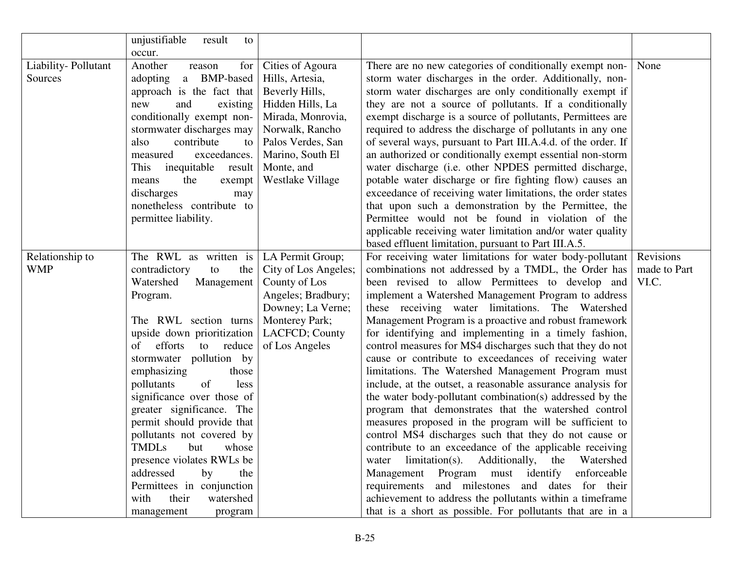|                     | unjustifiable<br>result<br>to |                       |                                                               |              |
|---------------------|-------------------------------|-----------------------|---------------------------------------------------------------|--------------|
|                     | occur.                        |                       |                                                               |              |
| Liability-Pollutant | Another<br>for<br>reason      | Cities of Agoura      | There are no new categories of conditionally exempt non-      | None         |
| Sources             | adopting a BMP-based          | Hills, Artesia,       | storm water discharges in the order. Additionally, non-       |              |
|                     | approach is the fact that     | Beverly Hills,        | storm water discharges are only conditionally exempt if       |              |
|                     | new<br>and<br>existing        | Hidden Hills, La      | they are not a source of pollutants. If a conditionally       |              |
|                     | conditionally exempt non-     | Mirada, Monrovia,     | exempt discharge is a source of pollutants, Permittees are    |              |
|                     | stormwater discharges may     | Norwalk, Rancho       | required to address the discharge of pollutants in any one    |              |
|                     | contribute<br>also<br>to      | Palos Verdes, San     | of several ways, pursuant to Part III.A.4.d. of the order. If |              |
|                     | exceedances.<br>measured      | Marino, South El      | an authorized or conditionally exempt essential non-storm     |              |
|                     | inequitable<br>This<br>result | Monte, and            | water discharge (i.e. other NPDES permitted discharge,        |              |
|                     | means<br>the<br>exempt        | Westlake Village      | potable water discharge or fire fighting flow) causes an      |              |
|                     | discharges<br>may             |                       | exceedance of receiving water limitations, the order states   |              |
|                     | nonetheless contribute to     |                       | that upon such a demonstration by the Permittee, the          |              |
|                     | permittee liability.          |                       | Permittee would not be found in violation of the              |              |
|                     |                               |                       | applicable receiving water limitation and/or water quality    |              |
|                     |                               |                       | based effluent limitation, pursuant to Part III.A.5.          |              |
| Relationship to     | The RWL as written is         | LA Permit Group;      | For receiving water limitations for water body-pollutant      | Revisions    |
| <b>WMP</b>          | contradictory<br>to<br>the    | City of Los Angeles;  | combinations not addressed by a TMDL, the Order has           | made to Part |
|                     | Watershed<br>Management       | County of Los         | been revised to allow Permittees to develop and               | VI.C.        |
|                     | Program.                      | Angeles; Bradbury;    | implement a Watershed Management Program to address           |              |
|                     |                               | Downey; La Verne;     | these receiving water limitations. The Watershed              |              |
|                     | The RWL section turns         | <b>Monterey Park;</b> | Management Program is a proactive and robust framework        |              |
|                     | upside down prioritization    | LACFCD; County        | for identifying and implementing in a timely fashion,         |              |
|                     | efforts to reduce<br>of       | of Los Angeles        | control measures for MS4 discharges such that they do not     |              |
|                     | stormwater pollution by       |                       | cause or contribute to exceedances of receiving water         |              |
|                     | emphasizing<br>those          |                       | limitations. The Watershed Management Program must            |              |
|                     | of<br>pollutants<br>less      |                       | include, at the outset, a reasonable assurance analysis for   |              |
|                     | significance over those of    |                       | the water body-pollutant combination(s) addressed by the      |              |
|                     | greater significance. The     |                       | program that demonstrates that the watershed control          |              |
|                     | permit should provide that    |                       | measures proposed in the program will be sufficient to        |              |
|                     | pollutants not covered by     |                       | control MS4 discharges such that they do not cause or         |              |
|                     | TMDLs but whose               |                       | contribute to an exceedance of the applicable receiving       |              |
|                     | presence violates RWLs be     |                       | limitation(s). Additionally, the Watershed<br>water           |              |
|                     | addressed<br>by<br>the        |                       | Management Program must identify enforceable                  |              |
|                     | Permittees in conjunction     |                       | requirements and milestones and dates for their               |              |
|                     | their<br>with<br>watershed    |                       | achievement to address the pollutants within a timeframe      |              |
|                     | management<br>program         |                       | that is a short as possible. For pollutants that are in a     |              |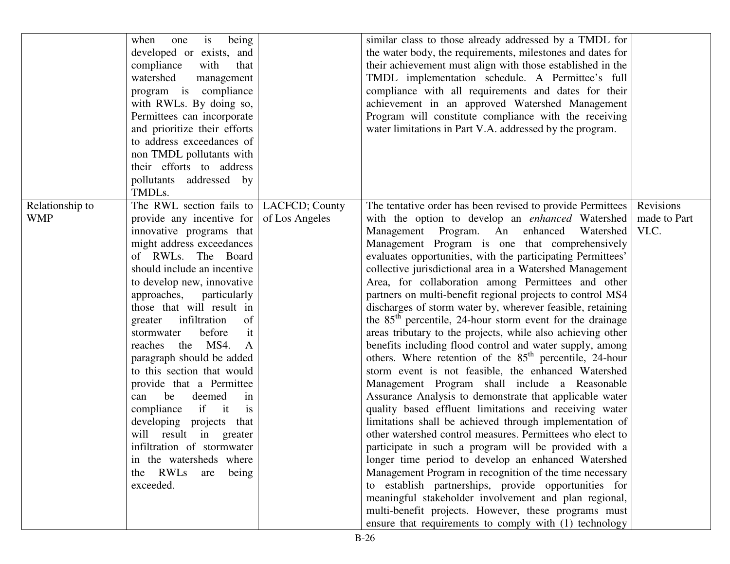|                 | is<br>being<br>when<br>one                | similar class to those already addressed by a TMDL for              |              |
|-----------------|-------------------------------------------|---------------------------------------------------------------------|--------------|
|                 | developed or exists, and                  | the water body, the requirements, milestones and dates for          |              |
|                 | compliance<br>with<br>that                | their achievement must align with those established in the          |              |
|                 | watershed<br>management                   | TMDL implementation schedule. A Permittee's full                    |              |
|                 | program is compliance                     | compliance with all requirements and dates for their                |              |
|                 | with RWLs. By doing so,                   | achievement in an approved Watershed Management                     |              |
|                 | Permittees can incorporate                | Program will constitute compliance with the receiving               |              |
|                 | and prioritize their efforts              | water limitations in Part V.A. addressed by the program.            |              |
|                 | to address exceedances of                 |                                                                     |              |
|                 | non TMDL pollutants with                  |                                                                     |              |
|                 | their efforts to address                  |                                                                     |              |
|                 | pollutants addressed by                   |                                                                     |              |
|                 | TMDLs.                                    |                                                                     |              |
| Relationship to | The RWL section fails to   LACFCD; County | The tentative order has been revised to provide Permittees          | Revisions    |
| <b>WMP</b>      | provide any incentive for of Los Angeles  | with the option to develop an enhanced Watershed                    | made to Part |
|                 | innovative programs that                  | Management Program. An enhanced<br>Watershed                        | VI.C.        |
|                 | might address exceedances                 | Management Program is one that comprehensively                      |              |
|                 | of RWLs. The Board                        | evaluates opportunities, with the participating Permittees'         |              |
|                 | should include an incentive               | collective jurisdictional area in a Watershed Management            |              |
|                 | to develop new, innovative                | Area, for collaboration among Permittees and other                  |              |
|                 | approaches, particularly                  | partners on multi-benefit regional projects to control MS4          |              |
|                 | those that will result in                 | discharges of storm water by, wherever feasible, retaining          |              |
|                 | greater infiltration<br>of                | the $85th$ percentile, 24-hour storm event for the drainage         |              |
|                 | before<br>stormwater<br>it                | areas tributary to the projects, while also achieving other         |              |
|                 | reaches the MS4.<br>A                     | benefits including flood control and water supply, among            |              |
|                 | paragraph should be added                 | others. Where retention of the 85 <sup>th</sup> percentile, 24-hour |              |
|                 | to this section that would                | storm event is not feasible, the enhanced Watershed                 |              |
|                 | provide that a Permittee                  | Management Program shall include a Reasonable                       |              |
|                 | be<br>deemed<br>can<br>in                 | Assurance Analysis to demonstrate that applicable water             |              |
|                 | if it<br>compliance<br>is                 | quality based effluent limitations and receiving water              |              |
|                 | developing projects that                  | limitations shall be achieved through implementation of             |              |
|                 | will result in greater                    | other watershed control measures. Permittees who elect to           |              |
|                 | infiltration of stormwater                | participate in such a program will be provided with a               |              |
|                 | in the watersheds where                   | longer time period to develop an enhanced Watershed                 |              |
|                 | the RWLs are<br>being                     | Management Program in recognition of the time necessary             |              |
|                 | exceeded.                                 | to establish partnerships, provide opportunities for                |              |
|                 |                                           | meaningful stakeholder involvement and plan regional,               |              |
|                 |                                           | multi-benefit projects. However, these programs must                |              |
|                 |                                           | ensure that requirements to comply with (1) technology              |              |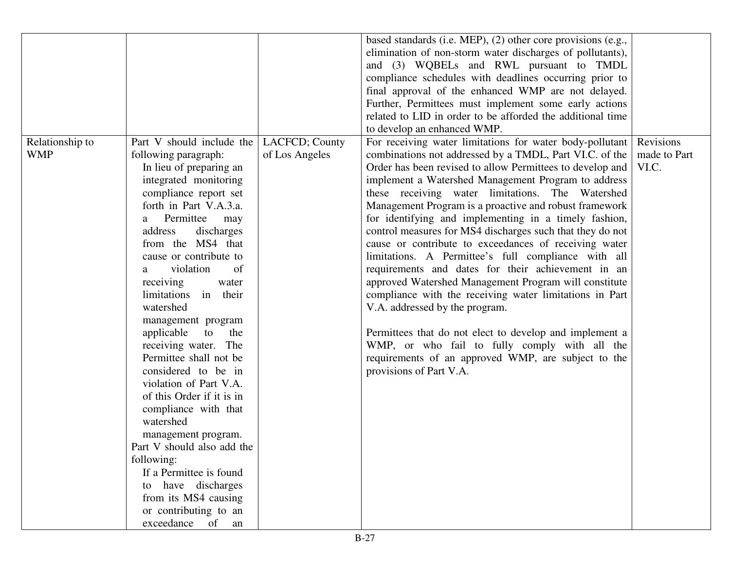|                 |                            |                | based standards (i.e. MEP), (2) other core provisions (e.g., |              |
|-----------------|----------------------------|----------------|--------------------------------------------------------------|--------------|
|                 |                            |                | elimination of non-storm water discharges of pollutants),    |              |
|                 |                            |                | and (3) WQBELs and RWL pursuant to TMDL                      |              |
|                 |                            |                | compliance schedules with deadlines occurring prior to       |              |
|                 |                            |                | final approval of the enhanced WMP are not delayed.          |              |
|                 |                            |                | Further, Permittees must implement some early actions        |              |
|                 |                            |                | related to LID in order to be afforded the additional time   |              |
|                 |                            |                | to develop an enhanced WMP.                                  |              |
| Relationship to | Part V should include the  | LACFCD; County | For receiving water limitations for water body-pollutant     | Revisions    |
| <b>WMP</b>      | following paragraph:       | of Los Angeles | combinations not addressed by a TMDL, Part VI.C. of the      | made to Part |
|                 | In lieu of preparing an    |                | Order has been revised to allow Permittees to develop and    | VI.C.        |
|                 | integrated monitoring      |                | implement a Watershed Management Program to address          |              |
|                 | compliance report set      |                | these receiving water limitations. The Watershed             |              |
|                 | forth in Part V.A.3.a.     |                | Management Program is a proactive and robust framework       |              |
|                 | Permittee<br>may<br>a      |                | for identifying and implementing in a timely fashion,        |              |
|                 | address<br>discharges      |                | control measures for MS4 discharges such that they do not    |              |
|                 | from the MS4 that          |                | cause or contribute to exceedances of receiving water        |              |
|                 | cause or contribute to     |                | limitations. A Permittee's full compliance with all          |              |
|                 | violation<br>of<br>a       |                | requirements and dates for their achievement in an           |              |
|                 | receiving<br>water         |                | approved Watershed Management Program will constitute        |              |
|                 | limitations in their       |                | compliance with the receiving water limitations in Part      |              |
|                 | watershed                  |                | V.A. addressed by the program.                               |              |
|                 | management program         |                |                                                              |              |
|                 | applicable<br>to<br>the    |                | Permittees that do not elect to develop and implement a      |              |
|                 | receiving water. The       |                | WMP, or who fail to fully comply with all the                |              |
|                 | Permittee shall not be     |                | requirements of an approved WMP, are subject to the          |              |
|                 | considered to be in        |                | provisions of Part V.A.                                      |              |
|                 | violation of Part V.A.     |                |                                                              |              |
|                 | of this Order if it is in  |                |                                                              |              |
|                 | compliance with that       |                |                                                              |              |
|                 | watershed                  |                |                                                              |              |
|                 | management program.        |                |                                                              |              |
|                 | Part V should also add the |                |                                                              |              |
|                 | following:                 |                |                                                              |              |
|                 | If a Permittee is found    |                |                                                              |              |
|                 | to have discharges         |                |                                                              |              |
|                 | from its MS4 causing       |                |                                                              |              |
|                 | or contributing to an      |                |                                                              |              |
|                 | exceedance of<br>an        |                |                                                              |              |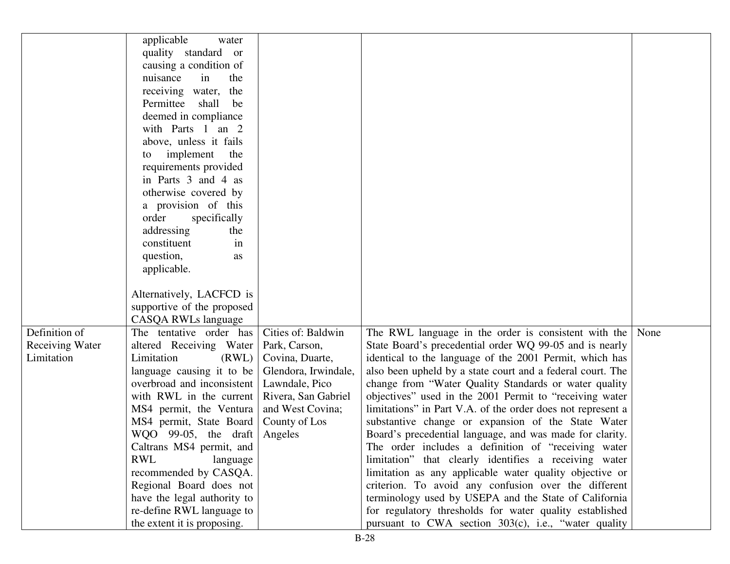|                        | applicable<br>water                               |                      |                                                             |      |
|------------------------|---------------------------------------------------|----------------------|-------------------------------------------------------------|------|
|                        | quality standard or<br>causing a condition of     |                      |                                                             |      |
|                        | nuisance<br>in<br>the                             |                      |                                                             |      |
|                        | receiving water,<br>the                           |                      |                                                             |      |
|                        | Permittee shall<br>be                             |                      |                                                             |      |
|                        | deemed in compliance                              |                      |                                                             |      |
|                        | with Parts 1 an 2                                 |                      |                                                             |      |
|                        | above, unless it fails                            |                      |                                                             |      |
|                        | implement<br>the<br>to                            |                      |                                                             |      |
|                        | requirements provided                             |                      |                                                             |      |
|                        | in Parts 3 and 4 as                               |                      |                                                             |      |
|                        | otherwise covered by                              |                      |                                                             |      |
|                        | a provision of this                               |                      |                                                             |      |
|                        | order<br>specifically                             |                      |                                                             |      |
|                        | addressing<br>the                                 |                      |                                                             |      |
|                        | in<br>constituent                                 |                      |                                                             |      |
|                        | question,<br>as                                   |                      |                                                             |      |
|                        | applicable.                                       |                      |                                                             |      |
|                        | Alternatively, LACFCD is                          |                      |                                                             |      |
|                        |                                                   |                      |                                                             |      |
|                        | supportive of the proposed<br>CASQA RWLs language |                      |                                                             |      |
| Definition of          | The tentative order has                           | Cities of: Baldwin   | The RWL language in the order is consistent with the        | None |
| <b>Receiving Water</b> | altered Receiving Water                           | Park, Carson,        | State Board's precedential order WQ 99-05 and is nearly     |      |
| Limitation             | Limitation<br>(RWL)                               | Covina, Duarte,      | identical to the language of the 2001 Permit, which has     |      |
|                        | language causing it to be                         | Glendora, Irwindale, | also been upheld by a state court and a federal court. The  |      |
|                        | overbroad and inconsistent                        | Lawndale, Pico       | change from "Water Quality Standards or water quality       |      |
|                        | with RWL in the current                           | Rivera, San Gabriel  | objectives" used in the 2001 Permit to "receiving water     |      |
|                        | MS4 permit, the Ventura                           | and West Covina;     | limitations" in Part V.A. of the order does not represent a |      |
|                        | MS4 permit, State Board                           | County of Los        | substantive change or expansion of the State Water          |      |
|                        | WQO 99-05, the draft Angeles                      |                      | Board's precedential language, and was made for clarity.    |      |
|                        | Caltrans MS4 permit, and                          |                      | The order includes a definition of "receiving water         |      |
|                        | <b>RWL</b><br>language                            |                      | limitation" that clearly identifies a receiving water       |      |
|                        | recommended by CASQA.                             |                      | limitation as any applicable water quality objective or     |      |
|                        | Regional Board does not                           |                      | criterion. To avoid any confusion over the different        |      |
|                        | have the legal authority to                       |                      | terminology used by USEPA and the State of California       |      |
|                        | re-define RWL language to                         |                      | for regulatory thresholds for water quality established     |      |
|                        | the extent it is proposing.                       |                      | pursuant to CWA section 303(c), i.e., "water quality        |      |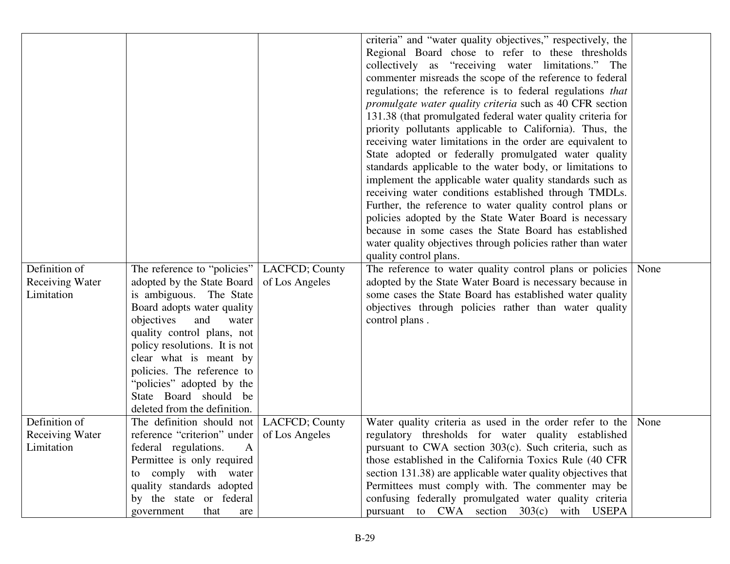|                        |                               |                | criteria" and "water quality objectives," respectively, the     |      |
|------------------------|-------------------------------|----------------|-----------------------------------------------------------------|------|
|                        |                               |                | Regional Board chose to refer to these thresholds               |      |
|                        |                               |                | collectively as "receiving water limitations." The              |      |
|                        |                               |                | commenter misreads the scope of the reference to federal        |      |
|                        |                               |                | regulations; the reference is to federal regulations that       |      |
|                        |                               |                | <i>promulgate water quality criteria such as 40 CFR section</i> |      |
|                        |                               |                | 131.38 (that promulgated federal water quality criteria for     |      |
|                        |                               |                | priority pollutants applicable to California). Thus, the        |      |
|                        |                               |                | receiving water limitations in the order are equivalent to      |      |
|                        |                               |                | State adopted or federally promulgated water quality            |      |
|                        |                               |                | standards applicable to the water body, or limitations to       |      |
|                        |                               |                | implement the applicable water quality standards such as        |      |
|                        |                               |                | receiving water conditions established through TMDLs.           |      |
|                        |                               |                | Further, the reference to water quality control plans or        |      |
|                        |                               |                | policies adopted by the State Water Board is necessary          |      |
|                        |                               |                | because in some cases the State Board has established           |      |
|                        |                               |                | water quality objectives through policies rather than water     |      |
|                        |                               |                | quality control plans.                                          |      |
| Definition of          | The reference to "policies"   | LACFCD; County | The reference to water quality control plans or policies        | None |
| <b>Receiving Water</b> | adopted by the State Board    | of Los Angeles | adopted by the State Water Board is necessary because in        |      |
| Limitation             | is ambiguous. The State       |                | some cases the State Board has established water quality        |      |
|                        | Board adopts water quality    |                | objectives through policies rather than water quality           |      |
|                        | objectives<br>and<br>water    |                | control plans.                                                  |      |
|                        | quality control plans, not    |                |                                                                 |      |
|                        | policy resolutions. It is not |                |                                                                 |      |
|                        | clear what is meant by        |                |                                                                 |      |
|                        | policies. The reference to    |                |                                                                 |      |
|                        | "policies" adopted by the     |                |                                                                 |      |
|                        | State Board should be         |                |                                                                 |      |
|                        | deleted from the definition.  |                |                                                                 |      |
| Definition of          | The definition should not     | LACFCD; County | Water quality criteria as used in the order refer to the        | None |
| <b>Receiving Water</b> | reference "criterion" under   | of Los Angeles | regulatory thresholds for water quality established             |      |
| Limitation             | federal regulations.<br>A     |                | pursuant to CWA section 303(c). Such criteria, such as          |      |
|                        | Permittee is only required    |                | those established in the California Toxics Rule (40 CFR)        |      |
|                        | to comply with water          |                | section 131.38) are applicable water quality objectives that    |      |
|                        | quality standards adopted     |                | Permittees must comply with. The commenter may be               |      |
|                        | by the state or federal       |                | confusing federally promulgated water quality criteria          |      |
|                        | that<br>government<br>are     |                | pursuant to CWA section 303(c) with USEPA                       |      |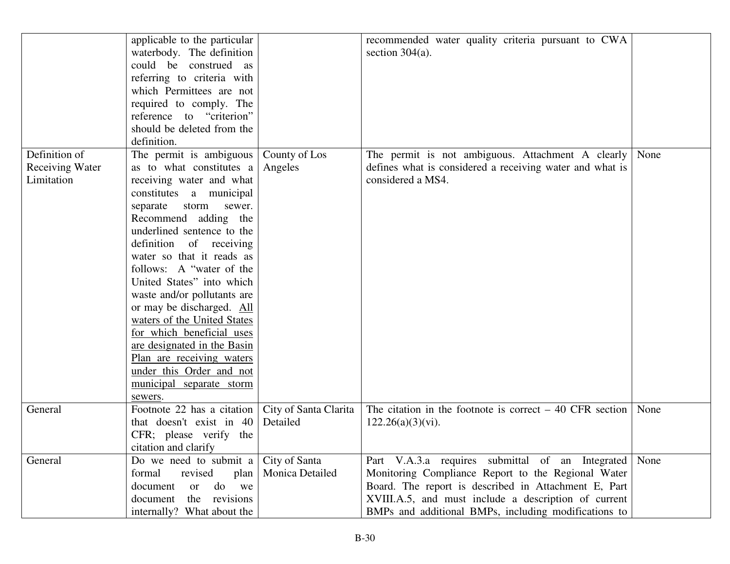|                                                       | applicable to the particular<br>waterbody. The definition<br>could be construed as<br>referring to criteria with<br>which Permittees are not<br>required to comply. The<br>reference to "criterion"<br>should be deleted from the<br>definition.                                                                                                                                                                                                                                                                                                                     |                                   | recommended water quality criteria pursuant to CWA<br>section $304(a)$ .                                                                                                                                                                                                            |      |
|-------------------------------------------------------|----------------------------------------------------------------------------------------------------------------------------------------------------------------------------------------------------------------------------------------------------------------------------------------------------------------------------------------------------------------------------------------------------------------------------------------------------------------------------------------------------------------------------------------------------------------------|-----------------------------------|-------------------------------------------------------------------------------------------------------------------------------------------------------------------------------------------------------------------------------------------------------------------------------------|------|
| Definition of<br><b>Receiving Water</b><br>Limitation | The permit is ambiguous<br>as to what constitutes a<br>receiving water and what<br>constitutes a municipal<br>separate storm<br>sewer.<br>Recommend adding the<br>underlined sentence to the<br>definition of receiving<br>water so that it reads as<br>follows: A "water of the<br>United States" into which<br>waste and/or pollutants are<br>or may be discharged. All<br>waters of the United States<br>for which beneficial uses<br>are designated in the Basin<br>Plan are receiving waters<br>under this Order and not<br>municipal separate storm<br>sewers. | County of Los<br>Angeles          | The permit is not ambiguous. Attachment A clearly<br>defines what is considered a receiving water and what is<br>considered a MS4.                                                                                                                                                  | None |
| General                                               | Footnote 22 has a citation<br>that doesn't exist in 40<br>CFR; please verify the<br>citation and clarify                                                                                                                                                                                                                                                                                                                                                                                                                                                             | City of Santa Clarita<br>Detailed | The citation in the footnote is correct $-40$ CFR section<br>$122.26(a)(3)(vi)$ .                                                                                                                                                                                                   | None |
| General                                               | Do we need to submit a<br>formal<br>revised<br>plan<br>document<br>do<br>we<br>or<br>document<br>the revisions<br>internally? What about the                                                                                                                                                                                                                                                                                                                                                                                                                         | City of Santa<br>Monica Detailed  | Part V.A.3.a requires submittal of an Integrated None<br>Monitoring Compliance Report to the Regional Water<br>Board. The report is described in Attachment E, Part<br>XVIII.A.5, and must include a description of current<br>BMPs and additional BMPs, including modifications to |      |